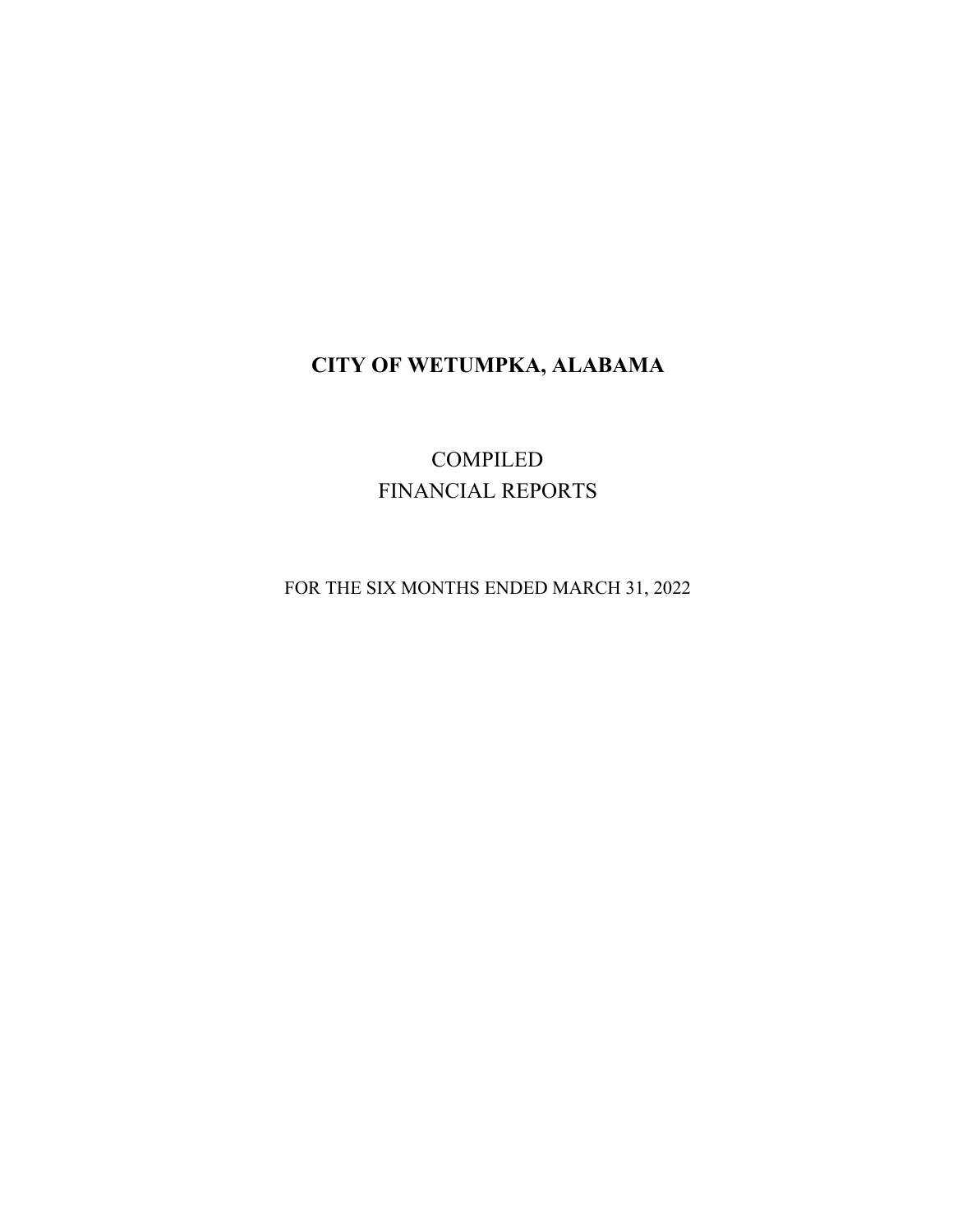# **CITY OF WETUMPKA, ALABAMA**

COMPILED FINANCIAL REPORTS

FOR THE SIX MONTHS ENDED MARCH 31, 2022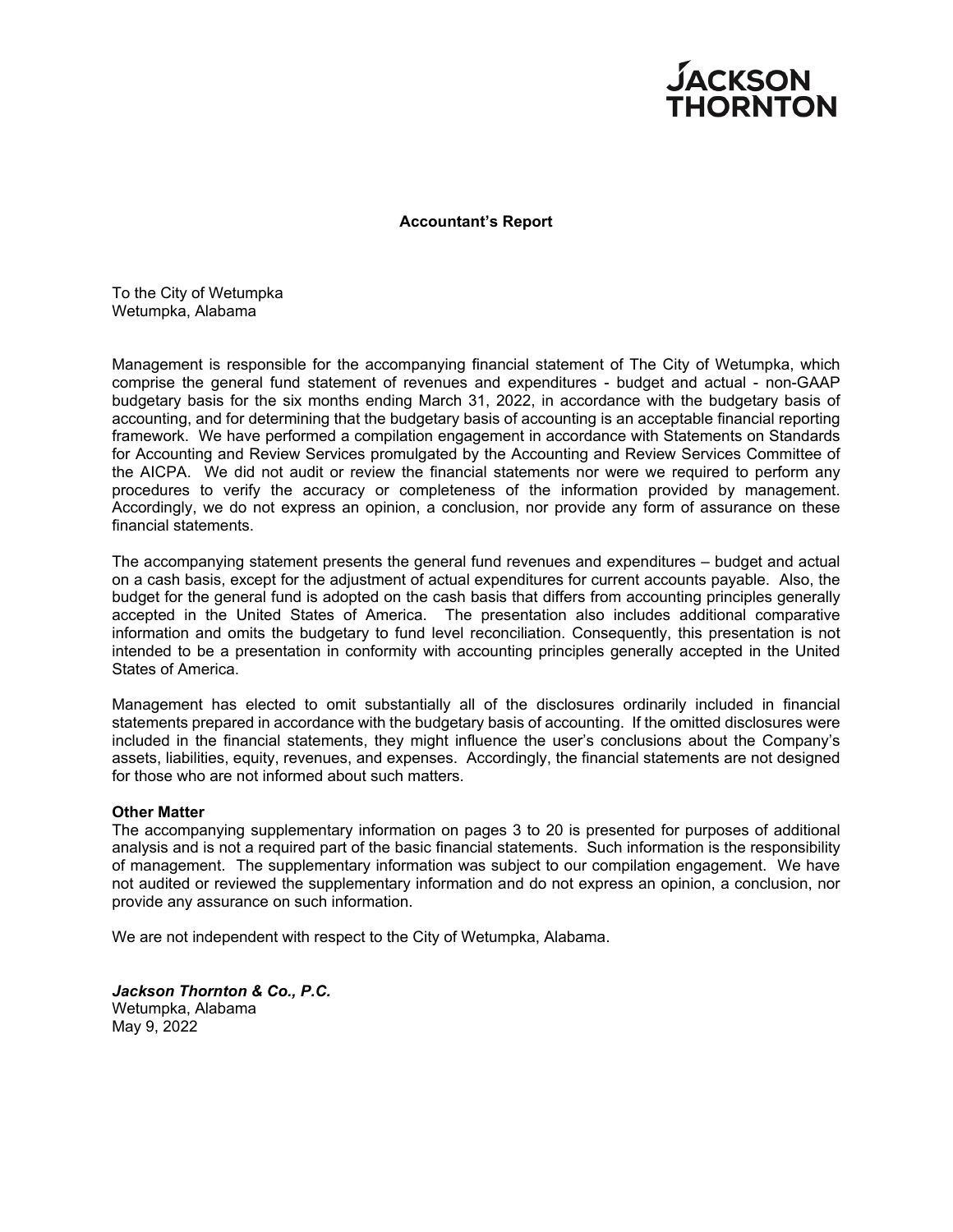

# **Accountant's Report**

To the City of Wetumpka Wetumpka, Alabama

Management is responsible for the accompanying financial statement of The City of Wetumpka, which comprise the general fund statement of revenues and expenditures - budget and actual - non-GAAP budgetary basis for the six months ending March 31, 2022, in accordance with the budgetary basis of accounting, and for determining that the budgetary basis of accounting is an acceptable financial reporting framework. We have performed a compilation engagement in accordance with Statements on Standards for Accounting and Review Services promulgated by the Accounting and Review Services Committee of the AICPA. We did not audit or review the financial statements nor were we required to perform any procedures to verify the accuracy or completeness of the information provided by management. Accordingly, we do not express an opinion, a conclusion, nor provide any form of assurance on these financial statements.

The accompanying statement presents the general fund revenues and expenditures – budget and actual on a cash basis, except for the adjustment of actual expenditures for current accounts payable. Also, the budget for the general fund is adopted on the cash basis that differs from accounting principles generally accepted in the United States of America. The presentation also includes additional comparative information and omits the budgetary to fund level reconciliation. Consequently, this presentation is not intended to be a presentation in conformity with accounting principles generally accepted in the United States of America.

Management has elected to omit substantially all of the disclosures ordinarily included in financial statements prepared in accordance with the budgetary basis of accounting. If the omitted disclosures were included in the financial statements, they might influence the user's conclusions about the Company's assets, liabilities, equity, revenues, and expenses. Accordingly, the financial statements are not designed for those who are not informed about such matters.

# **Other Matter**

The accompanying supplementary information on pages 3 to 20 is presented for purposes of additional analysis and is not a required part of the basic financial statements. Such information is the responsibility of management. The supplementary information was subject to our compilation engagement. We have not audited or reviewed the supplementary information and do not express an opinion, a conclusion, nor provide any assurance on such information.

We are not independent with respect to the City of Wetumpka, Alabama.

*Jackson Thornton & Co., P.C.*  Wetumpka, Alabama May 9, 2022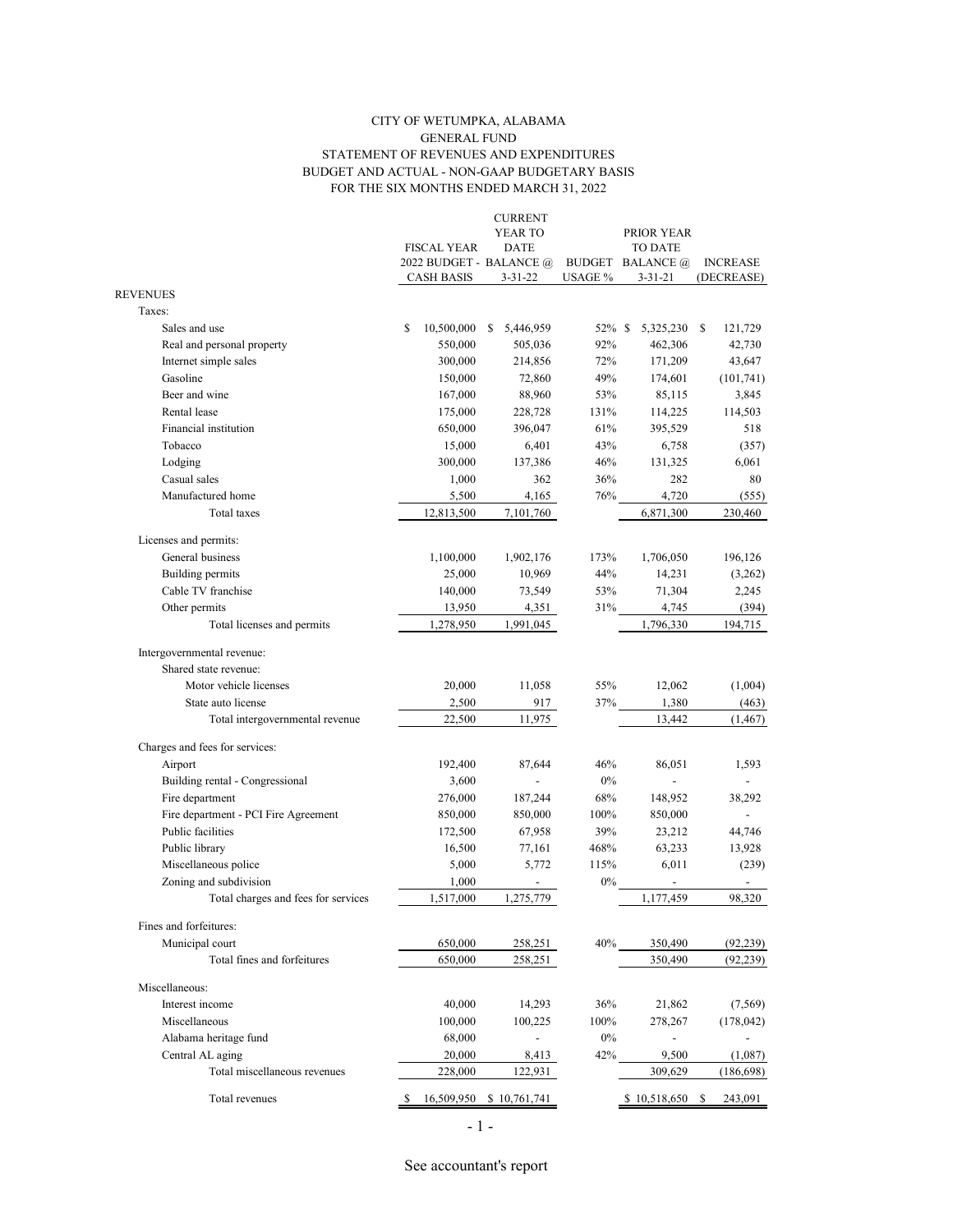## CITY OF WETUMPKA, ALABAMA BUDGET AND ACTUAL - NON-GAAP BUDGETARY BASIS FOR THE SIX MONTHS ENDED MARCH 31, 2022 STATEMENT OF REVENUES AND EXPENDITURES GENERAL FUND

|                                      |                         | <b>CURRENT</b>           |         |                         |                          |
|--------------------------------------|-------------------------|--------------------------|---------|-------------------------|--------------------------|
|                                      |                         | YEAR TO                  |         | PRIOR YEAR              |                          |
|                                      | <b>FISCAL YEAR</b>      | <b>DATE</b>              |         | <b>TO DATE</b>          |                          |
|                                      | 2022 BUDGET - BALANCE @ |                          |         | <b>BUDGET BALANCE</b> @ | <b>INCREASE</b>          |
| <b>REVENUES</b>                      | <b>CASH BASIS</b>       | $3 - 31 - 22$            | USAGE % | 3-31-21                 | (DECREASE)               |
| Taxes:                               |                         |                          |         |                         |                          |
| Sales and use                        | \$<br>10,500,000        | \$<br>5,446,959          | 52% \$  | 5,325,230               | S<br>121,729             |
| Real and personal property           | 550,000                 | 505,036                  | 92%     | 462,306                 | 42,730                   |
| Internet simple sales                | 300,000                 | 214,856                  | 72%     | 171,209                 | 43,647                   |
| Gasoline                             | 150,000                 | 72,860                   | 49%     | 174,601                 | (101, 741)               |
| Beer and wine                        | 167,000                 | 88,960                   | 53%     | 85,115                  | 3,845                    |
| Rental lease                         | 175,000                 | 228,728                  | 131%    | 114,225                 | 114,503                  |
| Financial institution                | 650,000                 | 396,047                  | 61%     | 395,529                 | 518                      |
| Tobacco                              | 15,000                  | 6,401                    | 43%     | 6,758                   | (357)                    |
| Lodging                              | 300,000                 | 137,386                  | 46%     | 131,325                 | 6,061                    |
| Casual sales                         |                         | 362                      | 36%     | 282                     | 80                       |
| Manufactured home                    | 1,000                   |                          |         |                         |                          |
|                                      | 5,500                   | 4,165                    | 76%     | 4,720                   | (555)                    |
| Total taxes                          | 12,813,500              | 7,101,760                |         | 6,871,300               | 230,460                  |
| Licenses and permits:                |                         |                          |         |                         |                          |
| General business                     | 1,100,000               | 1,902,176                | 173%    | 1,706,050               | 196,126                  |
| Building permits                     | 25,000                  | 10,969                   | 44%     | 14,231                  | (3,262)                  |
| Cable TV franchise                   | 140,000                 | 73,549                   | 53%     | 71,304                  | 2,245                    |
| Other permits                        | 13,950                  | 4,351                    | 31%     | 4,745                   | (394)                    |
| Total licenses and permits           | 1,278,950               | 1,991,045                |         | 1,796,330               | 194,715                  |
|                                      |                         |                          |         |                         |                          |
| Intergovernmental revenue:           |                         |                          |         |                         |                          |
| Shared state revenue:                |                         |                          |         |                         |                          |
| Motor vehicle licenses               | 20,000                  | 11,058                   | 55%     | 12,062                  | (1,004)                  |
| State auto license                   | 2,500                   | 917                      | 37%     | 1,380                   | (463)                    |
| Total intergovernmental revenue      | 22,500                  | 11,975                   |         | 13,442                  | (1, 467)                 |
| Charges and fees for services:       |                         |                          |         |                         |                          |
| Airport                              | 192,400                 | 87,644                   | 46%     | 86,051                  | 1,593                    |
| Building rental - Congressional      | 3,600                   |                          | $0\%$   |                         |                          |
| Fire department                      | 276,000                 | 187,244                  | 68%     | 148,952                 | 38,292                   |
| Fire department - PCI Fire Agreement | 850,000                 | 850,000                  | 100%    | 850,000                 |                          |
| Public facilities                    | 172,500                 | 67,958                   | 39%     | 23,212                  | 44,746                   |
| Public library                       | 16,500                  | 77,161                   | 468%    | 63,233                  | 13,928                   |
| Miscellaneous police                 | 5,000                   | 5,772                    | 115%    | 6,011                   | (239)                    |
| Zoning and subdivision               | 1,000                   | $\overline{\phantom{a}}$ | 0%      |                         | $\overline{\phantom{a}}$ |
| Total charges and fees for services  | 1,517,000               | 1,275,779                |         | 1,177,459               | 98,320                   |
|                                      |                         |                          |         |                         |                          |
| Fines and forfeitures:               |                         |                          |         |                         |                          |
| Municipal court                      | 650,000                 | 258,251                  | 40%     | 350,490                 | (92, 239)                |
| Total fines and forfeitures          | 650,000                 | 258,251                  |         | 350,490                 | (92, 239)                |
| Miscellaneous:                       |                         |                          |         |                         |                          |
| Interest income                      | 40,000                  |                          | 36%     |                         |                          |
| Miscellaneous                        | 100,000                 | 14,293                   | 100%    | 21,862                  | (7, 569)                 |
| Alabama heritage fund                | 68,000                  | 100,225                  | $0\%$   | 278,267                 | (178, 042)               |
| Central AL aging                     | 20,000                  | 8,413                    | 42%     | 9,500                   | (1,087)                  |
| Total miscellaneous revenues         | 228,000                 | 122,931                  |         | 309,629                 | (186, 698)               |
|                                      |                         |                          |         |                         |                          |
| Total revenues                       | 16,509,950              | \$10,761,741             |         | \$10,518,650            | 243,091<br>S             |
|                                      | - 1 -                   |                          |         |                         |                          |
|                                      |                         |                          |         |                         |                          |

See accountant's report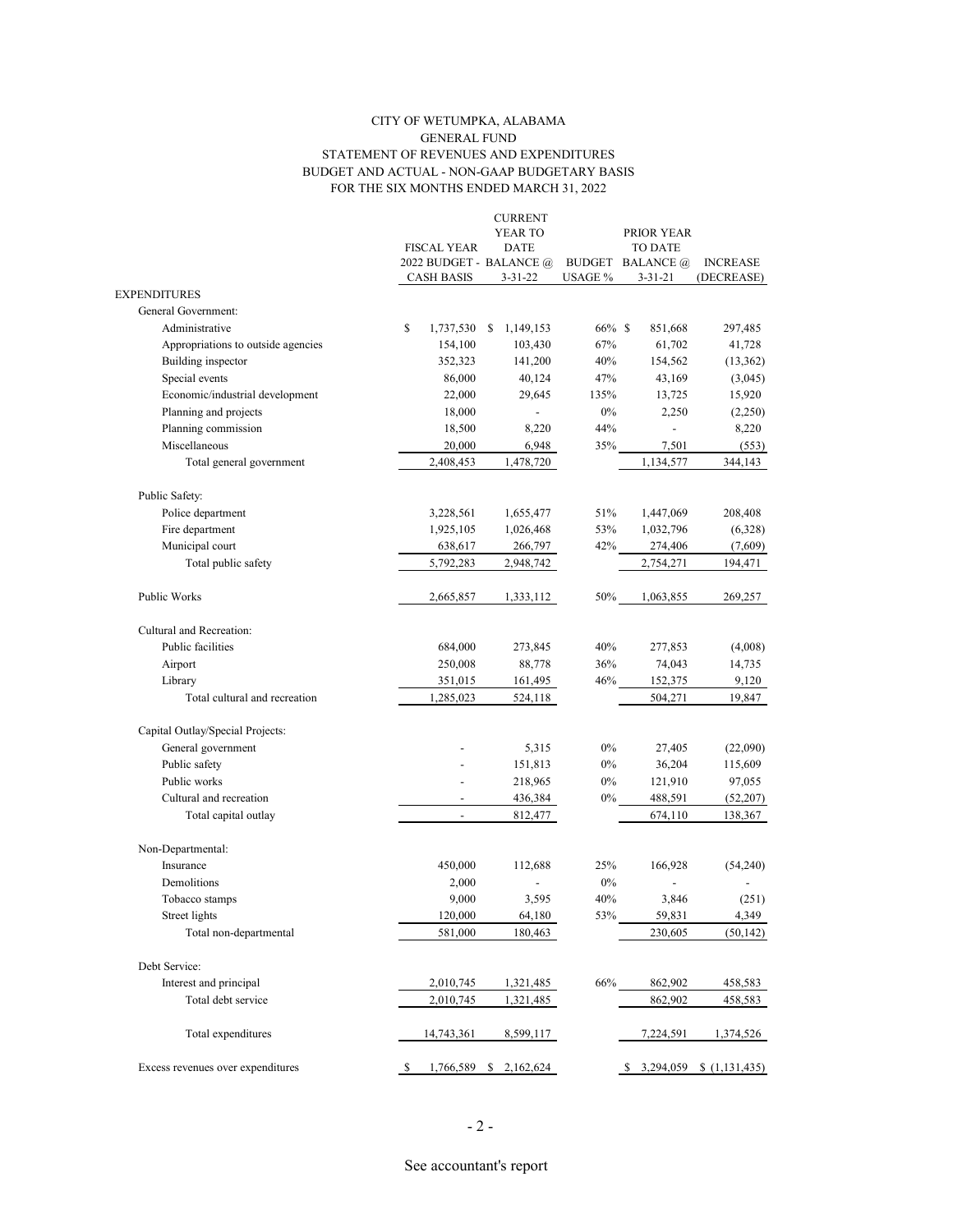## CITY OF WETUMPKA, ALABAMA BUDGET AND ACTUAL - NON-GAAP BUDGETARY BASIS FOR THE SIX MONTHS ENDED MARCH 31, 2022 STATEMENT OF REVENUES AND EXPENDITURES GENERAL FUND

|                                    |                                              | <b>CURRENT</b>  |            |                                          |                               |  |  |  |
|------------------------------------|----------------------------------------------|-----------------|------------|------------------------------------------|-------------------------------|--|--|--|
|                                    |                                              | YEAR TO         | PRIOR YEAR |                                          |                               |  |  |  |
|                                    | <b>FISCAL YEAR</b>                           | <b>DATE</b>     |            | TO DATE                                  |                               |  |  |  |
|                                    | 2022 BUDGET - BALANCE @<br><b>CASH BASIS</b> | $3 - 31 - 22$   | USAGE %    | <b>BUDGET BALANCE</b> @<br>$3 - 31 - 21$ | <b>INCREASE</b><br>(DECREASE) |  |  |  |
| <b>EXPENDITURES</b>                |                                              |                 |            |                                          |                               |  |  |  |
| General Government:                |                                              |                 |            |                                          |                               |  |  |  |
| Administrative                     | \$<br>1,737,530                              | \$<br>1,149,153 | 66% \$     | 851,668                                  | 297,485                       |  |  |  |
| Appropriations to outside agencies | 154,100                                      | 103,430         | 67%        | 61,702                                   | 41,728                        |  |  |  |
| Building inspector                 | 352,323                                      | 141,200         | 40%        | 154,562                                  | (13,362)                      |  |  |  |
| Special events                     | 86,000                                       | 40,124          | 47%        | 43,169                                   | (3,045)                       |  |  |  |
| Economic/industrial development    | 22,000                                       | 29,645          | 135%       | 13,725                                   | 15,920                        |  |  |  |
| Planning and projects              | 18,000                                       |                 | $0\%$      | 2,250                                    | (2,250)                       |  |  |  |
| Planning commission                | 18,500                                       | 8,220           | 44%        | $\overline{a}$                           | 8,220                         |  |  |  |
| Miscellaneous                      | 20,000                                       | 6,948           | 35%        | 7,501                                    | (553)                         |  |  |  |
| Total general government           | 2,408,453                                    | 1,478,720       |            | 1,134,577                                | 344,143                       |  |  |  |
| Public Safety:                     |                                              |                 |            |                                          |                               |  |  |  |
| Police department                  | 3,228,561                                    | 1,655,477       | 51%        | 1,447,069                                | 208,408                       |  |  |  |
| Fire department                    | 1,925,105                                    | 1,026,468       | 53%        | 1,032,796                                | (6,328)                       |  |  |  |
| Municipal court                    | 638,617                                      | 266,797         | 42%        | 274,406                                  | (7,609)                       |  |  |  |
| Total public safety                | 5,792,283                                    | 2,948,742       |            | 2,754,271                                | 194,471                       |  |  |  |
| Public Works                       | 2,665,857                                    | 1,333,112       | 50%        | 1,063,855                                | 269,257                       |  |  |  |
| Cultural and Recreation:           |                                              |                 |            |                                          |                               |  |  |  |
| Public facilities                  | 684,000                                      | 273,845         | 40%        | 277,853                                  | (4,008)                       |  |  |  |
| Airport                            | 250,008                                      | 88,778          | 36%        | 74,043                                   | 14,735                        |  |  |  |
| Library                            | 351,015                                      | 161,495         | 46%        | 152,375                                  | 9,120                         |  |  |  |
| Total cultural and recreation      | 1,285,023                                    | 524,118         |            | 504,271                                  | 19,847                        |  |  |  |
| Capital Outlay/Special Projects:   |                                              |                 |            |                                          |                               |  |  |  |
| General government                 |                                              | 5,315           | $0\%$      | 27,405                                   | (22,090)                      |  |  |  |
| Public safety                      |                                              | 151,813         | $0\%$      | 36,204                                   | 115,609                       |  |  |  |
| Public works                       |                                              | 218,965         | 0%         | 121,910                                  | 97,055                        |  |  |  |
| Cultural and recreation            |                                              | 436,384         | $0\%$      | 488,591                                  | (52, 207)                     |  |  |  |
| Total capital outlay               | $\overline{\phantom{a}}$                     | 812,477         |            | 674,110                                  | 138,367                       |  |  |  |
| Non-Departmental:                  |                                              |                 |            |                                          |                               |  |  |  |
| Insurance                          | 450,000                                      | 112,688         | 25%        | 166,928                                  | (54, 240)                     |  |  |  |
| Demolitions                        | 2,000                                        |                 | $0\%$      |                                          |                               |  |  |  |
| Tobacco stamps                     | 9,000                                        | 3,595           | 40%        | 3,846                                    | (251)                         |  |  |  |
| Street lights                      | 120,000                                      | 64,180          | 53%        | 59,831                                   | 4,349                         |  |  |  |
| Total non-departmental             | 581,000                                      | 180,463         |            | 230,605                                  | (50, 142)                     |  |  |  |
| Debt Service:                      |                                              |                 |            |                                          |                               |  |  |  |
| Interest and principal             | 2,010,745                                    | 1,321,485       | 66%        | 862,902                                  | 458,583                       |  |  |  |
| Total debt service                 | 2,010,745                                    | 1,321,485       |            | 862,902                                  | 458,583                       |  |  |  |
| Total expenditures                 | 14,743,361                                   | 8,599,117       |            | 7,224,591                                | 1,374,526                     |  |  |  |
| Excess revenues over expenditures  | 1,766,589<br>\$                              | S.<br>2,162,624 |            | 3,294,059<br>S.                          | (1,131,435)                   |  |  |  |
|                                    |                                              |                 |            |                                          |                               |  |  |  |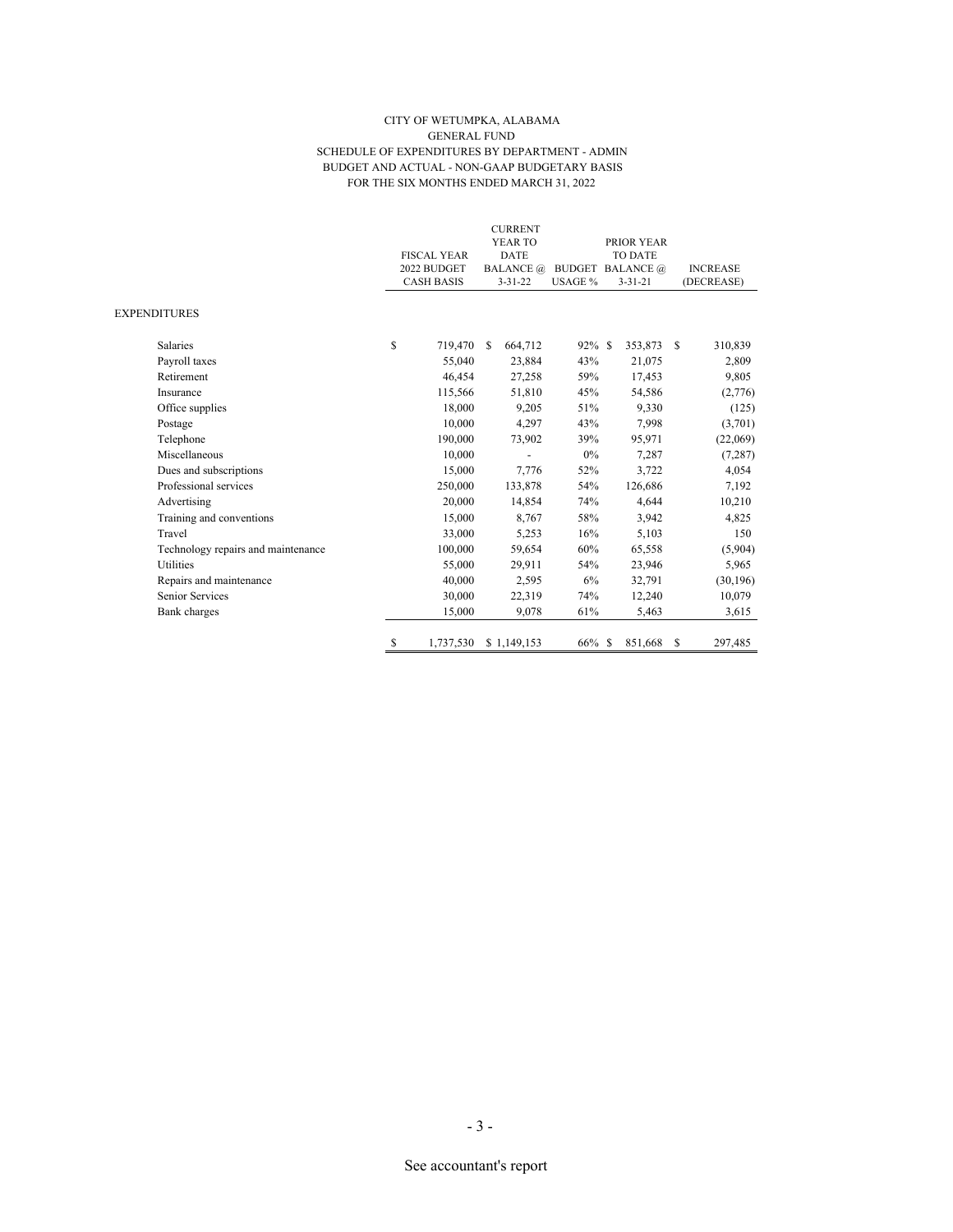#### CITY OF WETUMPKA, ALABAMA GENERAL FUND SCHEDULE OF EXPENDITURES BY DEPARTMENT - ADMIN BUDGET AND ACTUAL - NON-GAAP BUDGETARY BASIS FOR THE SIX MONTHS ENDED MARCH 31, 2022

|                                    |                    |               | <b>CURRENT</b><br>YEAR TO |           |                         | PRIOR YEAR    |                 |            |
|------------------------------------|--------------------|---------------|---------------------------|-----------|-------------------------|---------------|-----------------|------------|
|                                    | <b>FISCAL YEAR</b> |               | <b>DATE</b>               |           |                         | TO DATE       |                 |            |
|                                    | 2022 BUDGET        |               | <b>BALANCE</b> @          |           | <b>BUDGET BALANCE</b> @ |               | <b>INCREASE</b> |            |
|                                    | <b>CASH BASIS</b>  |               | $3 - 31 - 22$             | USAGE %   |                         | $3 - 31 - 21$ |                 | (DECREASE) |
| <b>EXPENDITURES</b>                |                    |               |                           |           |                         |               |                 |            |
| <b>Salaries</b>                    | \$<br>719,470      | <sup>\$</sup> | 664,712                   | $92\%$ \$ |                         | 353,873 \$    |                 | 310,839    |
| Payroll taxes                      | 55,040             |               | 23,884                    | 43%       |                         | 21,075        |                 | 2,809      |
| Retirement                         | 46,454             |               | 27,258                    | 59%       |                         | 17,453        |                 | 9,805      |
| Insurance                          | 115,566            |               | 51,810                    | 45%       |                         | 54,586        |                 | (2,776)    |
| Office supplies                    | 18,000             |               | 9,205                     | 51%       |                         | 9,330         |                 | (125)      |
| Postage                            | 10,000             |               | 4,297                     | 43%       |                         | 7,998         |                 | (3,701)    |
| Telephone                          | 190,000            |               | 73,902                    | 39%       |                         | 95,971        |                 | (22,069)   |
| Miscellaneous                      | 10,000             |               |                           | $0\%$     |                         | 7,287         |                 | (7, 287)   |
| Dues and subscriptions             | 15,000             |               | 7,776                     | 52%       |                         | 3,722         |                 | 4,054      |
| Professional services              | 250,000            |               | 133,878                   | 54%       |                         | 126,686       |                 | 7,192      |
| Advertising                        | 20,000             |               | 14,854                    | 74%       |                         | 4,644         |                 | 10,210     |
| Training and conventions           | 15,000             |               | 8,767                     | 58%       |                         | 3,942         |                 | 4,825      |
| Travel                             | 33,000             |               | 5,253                     | 16%       |                         | 5,103         |                 | 150        |
| Technology repairs and maintenance | 100,000            |               | 59,654                    | 60%       |                         | 65,558        |                 | (5,904)    |
| Utilities                          | 55,000             |               | 29,911                    | 54%       |                         | 23,946        |                 | 5,965      |
| Repairs and maintenance            | 40,000             |               | 2,595                     | 6%        |                         | 32,791        |                 | (30, 196)  |
| Senior Services                    | 30,000             |               | 22,319                    | 74%       |                         | 12,240        |                 | 10,079     |
| <b>Bank</b> charges                | 15,000             |               | 9,078                     | 61%       |                         | 5,463         |                 | 3,615      |
|                                    | \$<br>1,737,530    |               | \$1,149,153               | 66% \$    |                         | 851,668       | S               | 297,485    |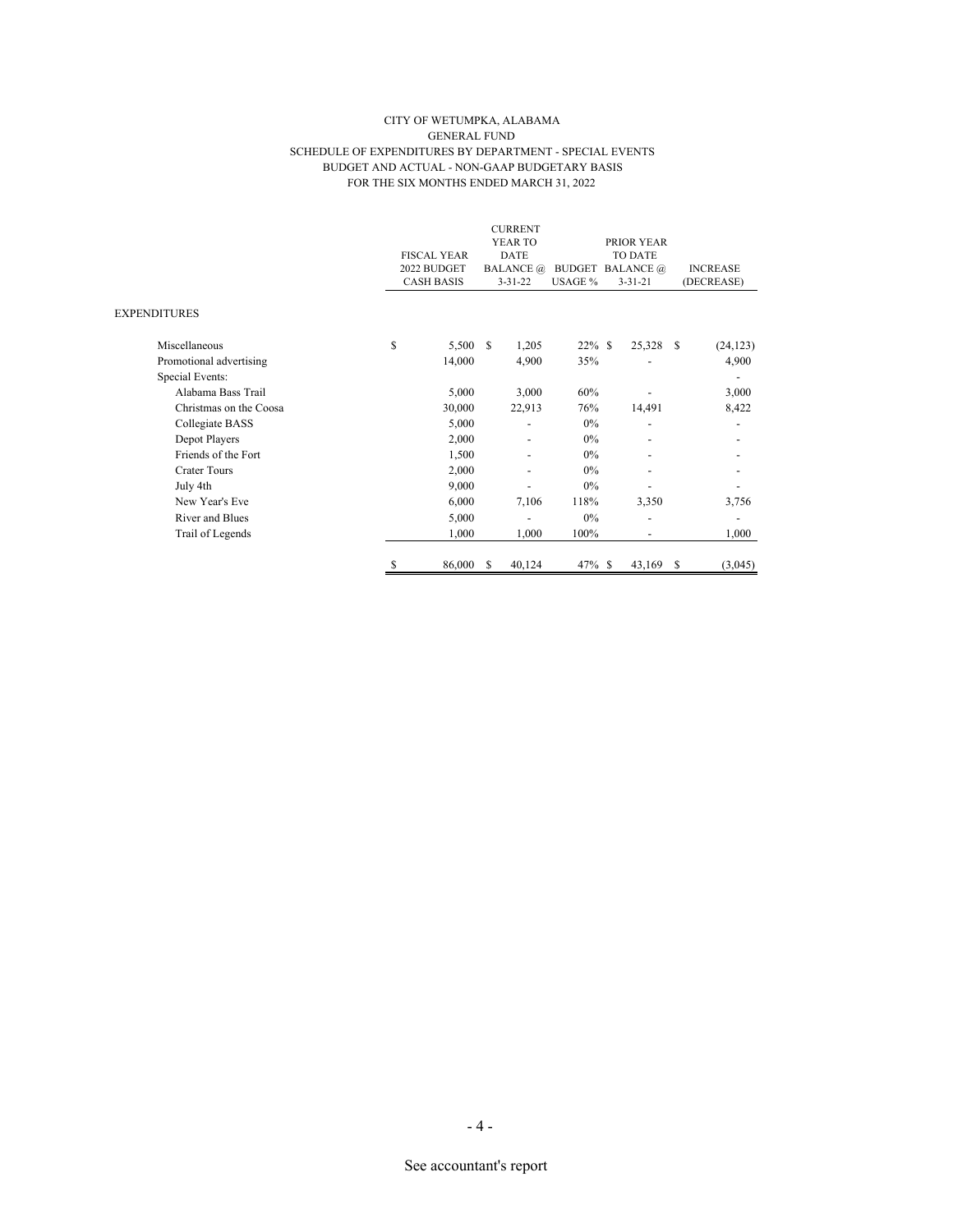#### CITY OF WETUMPKA, ALABAMA GENERAL FUND SCHEDULE OF EXPENDITURES BY DEPARTMENT - SPECIAL EVENTS BUDGET AND ACTUAL - NON-GAAP BUDGETARY BASIS FOR THE SIX MONTHS ENDED MARCH 31, 2022

|                         |    |                    |               | <b>CURRENT</b>   |           |                         |                          |               |                 |
|-------------------------|----|--------------------|---------------|------------------|-----------|-------------------------|--------------------------|---------------|-----------------|
|                         |    |                    |               | YEAR TO          |           |                         | PRIOR YEAR               |               |                 |
|                         |    | <b>FISCAL YEAR</b> |               | <b>DATE</b>      |           |                         | TO DATE                  |               |                 |
|                         |    | 2022 BUDGET        |               | <b>BALANCE</b> @ |           | <b>BUDGET BALANCE</b> @ |                          |               | <b>INCREASE</b> |
|                         |    | <b>CASH BASIS</b>  |               | $3 - 31 - 22$    | USAGE %   |                         | $3 - 31 - 21$            |               | (DECREASE)      |
| <b>EXPENDITURES</b>     |    |                    |               |                  |           |                         |                          |               |                 |
| Miscellaneous           | \$ | 5,500              | $\mathcal{S}$ | 1,205            | $22\%$ \$ |                         | 25,328 \$                |               | (24, 123)       |
| Promotional advertising |    | 14,000             |               | 4,900            | 35%       |                         |                          |               | 4,900           |
| Special Events:         |    |                    |               |                  |           |                         |                          |               | $\overline{a}$  |
| Alabama Bass Trail      |    | 5,000              |               | 3,000            | 60%       |                         |                          |               | 3,000           |
| Christmas on the Coosa  |    | 30,000             |               | 22,913           | 76%       |                         | 14,491                   |               | 8,422           |
| Collegiate BASS         |    | 5,000              |               | ٠                | $0\%$     |                         | $\overline{\phantom{0}}$ |               |                 |
| Depot Players           |    | 2,000              |               |                  | $0\%$     |                         |                          |               |                 |
| Friends of the Fort     |    | 1,500              |               |                  | $0\%$     |                         |                          |               |                 |
| <b>Crater Tours</b>     |    | 2,000              |               |                  | $0\%$     |                         |                          |               |                 |
| July 4th                |    | 9,000              |               |                  | 0%        |                         |                          |               |                 |
| New Year's Eve          |    | 6,000              |               | 7,106            | 118%      |                         | 3,350                    |               | 3,756           |
| River and Blues         |    | 5,000              |               | ٠                | 0%        |                         | $\overline{a}$           |               | $\overline{a}$  |
| Trail of Legends        |    | 1,000              |               | 1,000            | 100%      |                         | -                        |               | 1,000           |
|                         | S  | 86,000             | S             | 40,124           | $47\%$ \$ |                         | 43,169                   | <sup>\$</sup> | (3,045)         |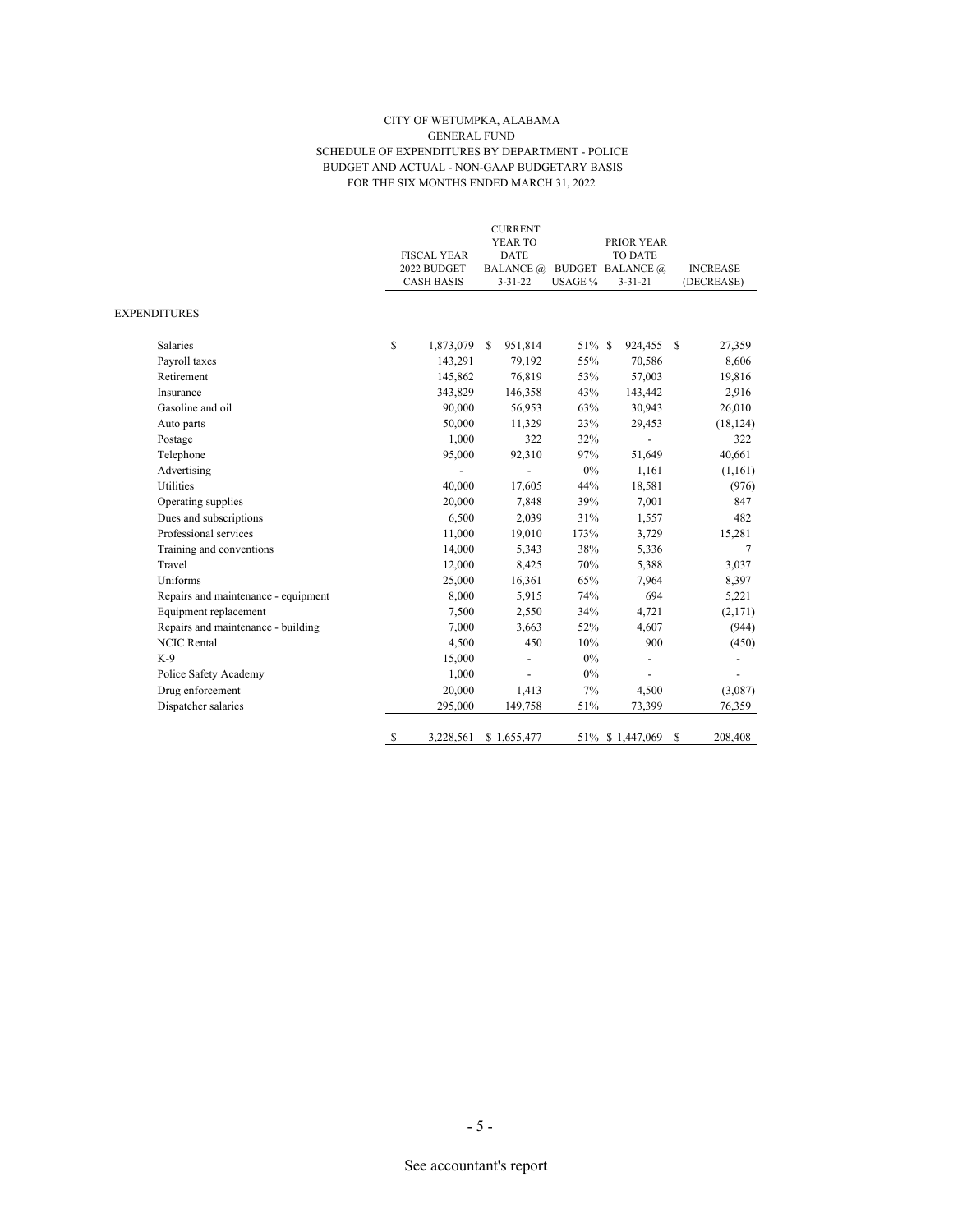#### CITY OF WETUMPKA, ALABAMA GENERAL FUND SCHEDULE OF EXPENDITURES BY DEPARTMENT - POLICE BUDGET AND ACTUAL - NON-GAAP BUDGETARY BASIS FOR THE SIX MONTHS ENDED MARCH 31, 2022

|                                     | <b>FISCAL YEAR</b><br>2022 BUDGET<br><b>CASH BASIS</b> |              | <b>CURRENT</b><br>YEAR TO<br>DATE<br>$3 - 31 - 22$ |             | USAGE % | PRIOR YEAR<br>TO DATE<br>BALANCE @ BUDGET BALANCE @<br>$3 - 31 - 21$ |                          |               | <b>INCREASE</b><br>(DECREASE) |
|-------------------------------------|--------------------------------------------------------|--------------|----------------------------------------------------|-------------|---------|----------------------------------------------------------------------|--------------------------|---------------|-------------------------------|
| <b>EXPENDITURES</b>                 |                                                        |              |                                                    |             |         |                                                                      |                          |               |                               |
| <b>Salaries</b>                     | \$                                                     | 1,873,079 \$ |                                                    | 951,814     | 51% \$  | 924,455                                                              |                          | <sup>\$</sup> | 27,359                        |
| Payroll taxes                       |                                                        | 143,291      |                                                    | 79,192      | 55%     | 70,586                                                               |                          |               | 8,606                         |
| Retirement                          |                                                        | 145,862      |                                                    | 76,819      | 53%     | 57,003                                                               |                          |               | 19,816                        |
| Insurance                           |                                                        | 343,829      |                                                    | 146,358     | 43%     | 143,442                                                              |                          |               | 2,916                         |
| Gasoline and oil                    |                                                        | 90,000       |                                                    | 56,953      | 63%     | 30,943                                                               |                          |               | 26,010                        |
| Auto parts                          |                                                        | 50,000       |                                                    | 11,329      | 23%     | 29,453                                                               |                          |               | (18, 124)                     |
| Postage                             |                                                        | 1,000        |                                                    | 322         | 32%     |                                                                      | $\overline{\phantom{a}}$ |               | 322                           |
| Telephone                           |                                                        | 95,000       |                                                    | 92,310      | 97%     | 51,649                                                               |                          |               | 40,661                        |
| Advertising                         |                                                        |              |                                                    |             | $0\%$   |                                                                      | 1,161                    |               | (1,161)                       |
| <b>Utilities</b>                    |                                                        | 40,000       |                                                    | 17,605      | 44%     | 18,581                                                               |                          |               | (976)                         |
| Operating supplies                  |                                                        | 20,000       |                                                    | 7,848       | 39%     |                                                                      | 7,001                    |               | 847                           |
| Dues and subscriptions              |                                                        | 6,500        |                                                    | 2,039       | 31%     |                                                                      | 1,557                    |               | 482                           |
| Professional services               |                                                        | 11,000       |                                                    | 19,010      | 173%    |                                                                      | 3,729                    |               | 15,281                        |
| Training and conventions            |                                                        | 14,000       |                                                    | 5,343       | 38%     |                                                                      | 5,336                    |               | 7                             |
| Travel                              |                                                        | 12,000       |                                                    | 8,425       | 70%     |                                                                      | 5,388                    |               | 3,037                         |
| Uniforms                            |                                                        | 25,000       |                                                    | 16,361      | 65%     |                                                                      | 7,964                    |               | 8,397                         |
| Repairs and maintenance - equipment |                                                        | 8,000        |                                                    | 5,915       | 74%     |                                                                      | 694                      |               | 5,221                         |
| Equipment replacement               |                                                        | 7,500        |                                                    | 2,550       | 34%     |                                                                      | 4,721                    |               | (2,171)                       |
| Repairs and maintenance - building  |                                                        | 7.000        |                                                    | 3,663       | 52%     |                                                                      | 4,607                    |               | (944)                         |
| <b>NCIC Rental</b>                  |                                                        | 4,500        |                                                    | 450         | 10%     |                                                                      | 900                      |               | (450)                         |
| $K-9$                               |                                                        | 15,000       |                                                    |             | $0\%$   |                                                                      |                          |               |                               |
| Police Safety Academy               |                                                        | 1,000        |                                                    |             | 0%      |                                                                      |                          |               |                               |
| Drug enforcement                    |                                                        | 20,000       |                                                    | 1,413       | 7%      |                                                                      | 4,500                    |               | (3,087)                       |
| Dispatcher salaries                 |                                                        | 295,000      |                                                    | 149,758     | 51%     | 73,399                                                               |                          |               | 76,359                        |
|                                     | \$                                                     | 3,228,561    |                                                    | \$1,655,477 |         | 51% \$1,447,069                                                      |                          | \$            | 208,408                       |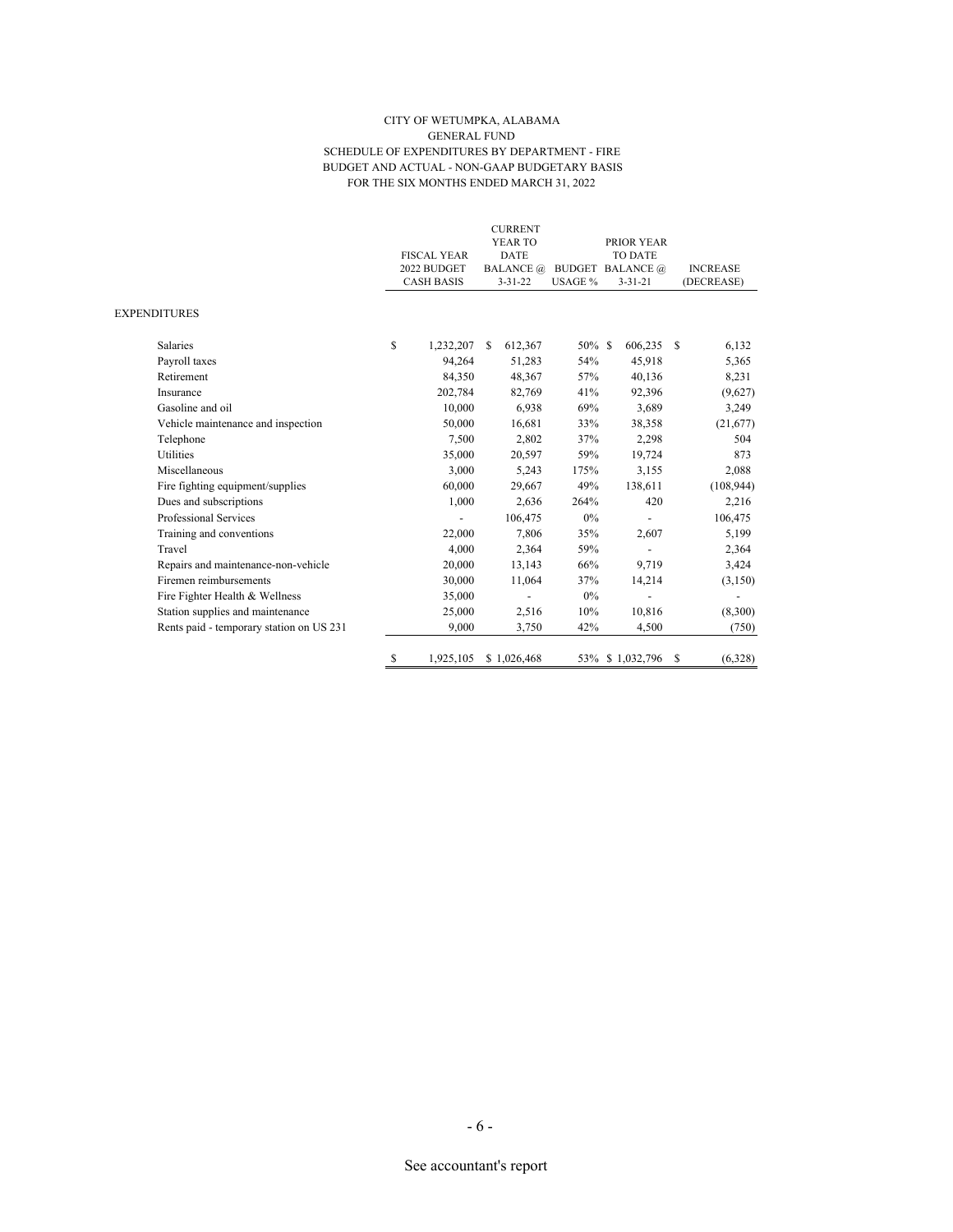#### CITY OF WETUMPKA, ALABAMA GENERAL FUND SCHEDULE OF EXPENDITURES BY DEPARTMENT - FIRE BUDGET AND ACTUAL - NON-GAAP BUDGETARY BASIS FOR THE SIX MONTHS ENDED MARCH 31, 2022

|                                          |              |           |                                                        |         |                                                                                              |         |         |                                                                                      | <b>INCREASE</b> |
|------------------------------------------|--------------|-----------|--------------------------------------------------------|---------|----------------------------------------------------------------------------------------------|---------|---------|--------------------------------------------------------------------------------------|-----------------|
|                                          |              |           |                                                        |         |                                                                                              |         |         |                                                                                      | (DECREASE)      |
|                                          |              |           |                                                        |         |                                                                                              |         |         |                                                                                      |                 |
| <b>Salaries</b>                          | \$           | 1,232,207 | S                                                      | 612,367 |                                                                                              |         |         |                                                                                      | 6,132           |
| Payroll taxes                            |              | 94,264    |                                                        | 51,283  | 54%                                                                                          |         | 45,918  |                                                                                      | 5,365           |
| Retirement                               |              | 84,350    |                                                        | 48,367  | 57%                                                                                          |         | 40,136  |                                                                                      | 8,231           |
| Insurance                                |              | 202,784   |                                                        | 82,769  | 41%                                                                                          |         | 92,396  |                                                                                      | (9,627)         |
| Gasoline and oil                         |              | 10,000    |                                                        | 6,938   | 69%                                                                                          |         | 3,689   |                                                                                      | 3,249           |
| Vehicle maintenance and inspection       |              | 50,000    |                                                        | 16,681  | 33%                                                                                          |         | 38,358  |                                                                                      | (21,677)        |
| Telephone                                |              | 7,500     |                                                        | 2,802   | 37%                                                                                          |         | 2,298   |                                                                                      | 504             |
| <b>Utilities</b>                         |              | 35,000    |                                                        | 20,597  | 59%                                                                                          |         | 19,724  |                                                                                      | 873             |
| Miscellaneous                            |              | 3,000     |                                                        | 5,243   | 175%                                                                                         |         | 3,155   |                                                                                      | 2,088           |
| Fire fighting equipment/supplies         |              | 60,000    |                                                        | 29,667  | 49%                                                                                          |         | 138,611 |                                                                                      | (108, 944)      |
| Dues and subscriptions                   |              | 1.000     |                                                        | 2,636   | 264%                                                                                         |         | 420     |                                                                                      | 2,216           |
| Professional Services                    |              |           |                                                        | 106,475 | $0\%$                                                                                        |         |         |                                                                                      | 106,475         |
| Training and conventions                 |              | 22,000    |                                                        | 7,806   | 35%                                                                                          |         | 2,607   |                                                                                      | 5,199           |
| Travel                                   |              | 4,000     |                                                        | 2,364   | 59%                                                                                          |         |         |                                                                                      | 2,364           |
| Repairs and maintenance-non-vehicle      |              | 20,000    |                                                        | 13,143  | 66%                                                                                          |         | 9,719   |                                                                                      | 3,424           |
| Firemen reimbursements                   |              | 30,000    |                                                        | 11,064  | 37%                                                                                          |         | 14,214  |                                                                                      | (3,150)         |
| Fire Fighter Health & Wellness           |              | 35,000    |                                                        |         | 0%                                                                                           |         |         |                                                                                      |                 |
| Station supplies and maintenance         |              | 25,000    |                                                        | 2,516   | 10%                                                                                          |         | 10,816  |                                                                                      | (8,300)         |
| Rents paid - temporary station on US 231 |              | 9,000     |                                                        | 3,750   | 42%                                                                                          |         | 4,500   |                                                                                      | (750)           |
|                                          | S            | 1,925,105 |                                                        |         |                                                                                              |         |         | \$                                                                                   | (6,328)         |
|                                          | EXPENDITURES |           | <b>FISCAL YEAR</b><br>2022 BUDGET<br><b>CASH BASIS</b> |         | <b>CURRENT</b><br>YEAR TO<br><b>DATE</b><br><b>BALANCE</b> @<br>$3 - 31 - 22$<br>\$1,026,468 | USAGE % | 50% \$  | PRIOR YEAR<br>TO DATE<br><b>BUDGET BALANCE</b> @<br>$3 - 31 - 21$<br>53% \$1,032,796 | 606,235 \$      |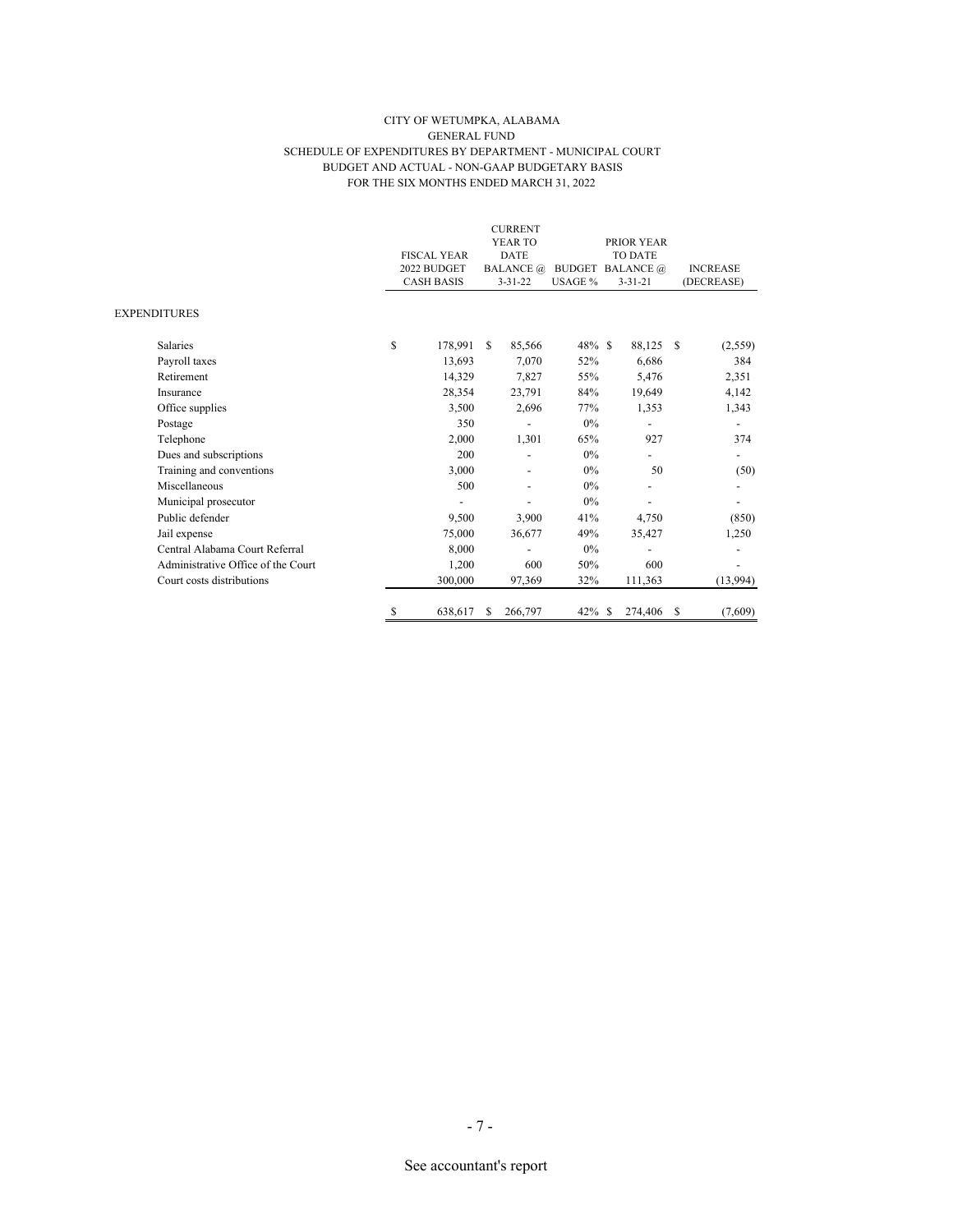#### CITY OF WETUMPKA, ALABAMA GENERAL FUND SCHEDULE OF EXPENDITURES BY DEPARTMENT - MUNICIPAL COURT BUDGET AND ACTUAL - NON-GAAP BUDGETARY BASIS FOR THE SIX MONTHS ENDED MARCH 31, 2022

|                                    |                    |                  | <b>CURRENT</b> |           |                          |                 |
|------------------------------------|--------------------|------------------|----------------|-----------|--------------------------|-----------------|
|                                    |                    |                  | YEAR TO        |           | PRIOR YEAR               |                 |
|                                    | <b>FISCAL YEAR</b> |                  | <b>DATE</b>    |           | <b>TO DATE</b>           |                 |
|                                    | 2022 BUDGET        | <b>BALANCE</b> @ |                |           | <b>BUDGET BALANCE</b> @  | <b>INCREASE</b> |
|                                    | <b>CASH BASIS</b>  |                  | $3 - 31 - 22$  | USAGE %   | $3 - 31 - 21$            | (DECREASE)      |
| <b>EXPENDITURES</b>                |                    |                  |                |           |                          |                 |
| <b>Salaries</b>                    | \$<br>178,991      | S.               | 85,566         | $48\%$ \$ | 88,125                   | -S<br>(2,559)   |
| Payroll taxes                      | 13,693             |                  | 7.070          | 52%       | 6.686                    | 384             |
| Retirement                         | 14,329             |                  | 7,827          | 55%       | 5,476                    | 2,351           |
| Insurance                          | 28,354             |                  | 23,791         | 84%       | 19,649                   | 4,142           |
| Office supplies                    | 3,500              |                  | 2,696          | 77%       | 1,353                    | 1,343           |
| Postage                            | 350                |                  |                | 0%        |                          |                 |
| Telephone                          | 2,000              |                  | 1,301          | 65%       | 927                      | 374             |
| Dues and subscriptions             | 200                |                  |                | 0%        |                          |                 |
| Training and conventions           | 3,000              |                  |                | 0%        | 50                       | (50)            |
| Miscellaneous                      | 500                |                  |                | 0%        |                          |                 |
| Municipal prosecutor               |                    |                  |                | 0%        | $\overline{\phantom{0}}$ |                 |
| Public defender                    | 9,500              |                  | 3,900          | 41%       | 4,750                    | (850)           |
| Jail expense                       | 75,000             |                  | 36,677         | 49%       | 35,427                   | 1,250           |
| Central Alabama Court Referral     | 8,000              |                  |                | 0%        |                          |                 |
| Administrative Office of the Court | 1,200              |                  | 600            | 50%       | 600                      |                 |
| Court costs distributions          | 300,000            |                  | 97,369         | 32%       | 111,363                  | (13,994)        |
|                                    | \$<br>638,617      | S                | 266,797        | $42\%$ \$ | 274,406                  | \$<br>(7,609)   |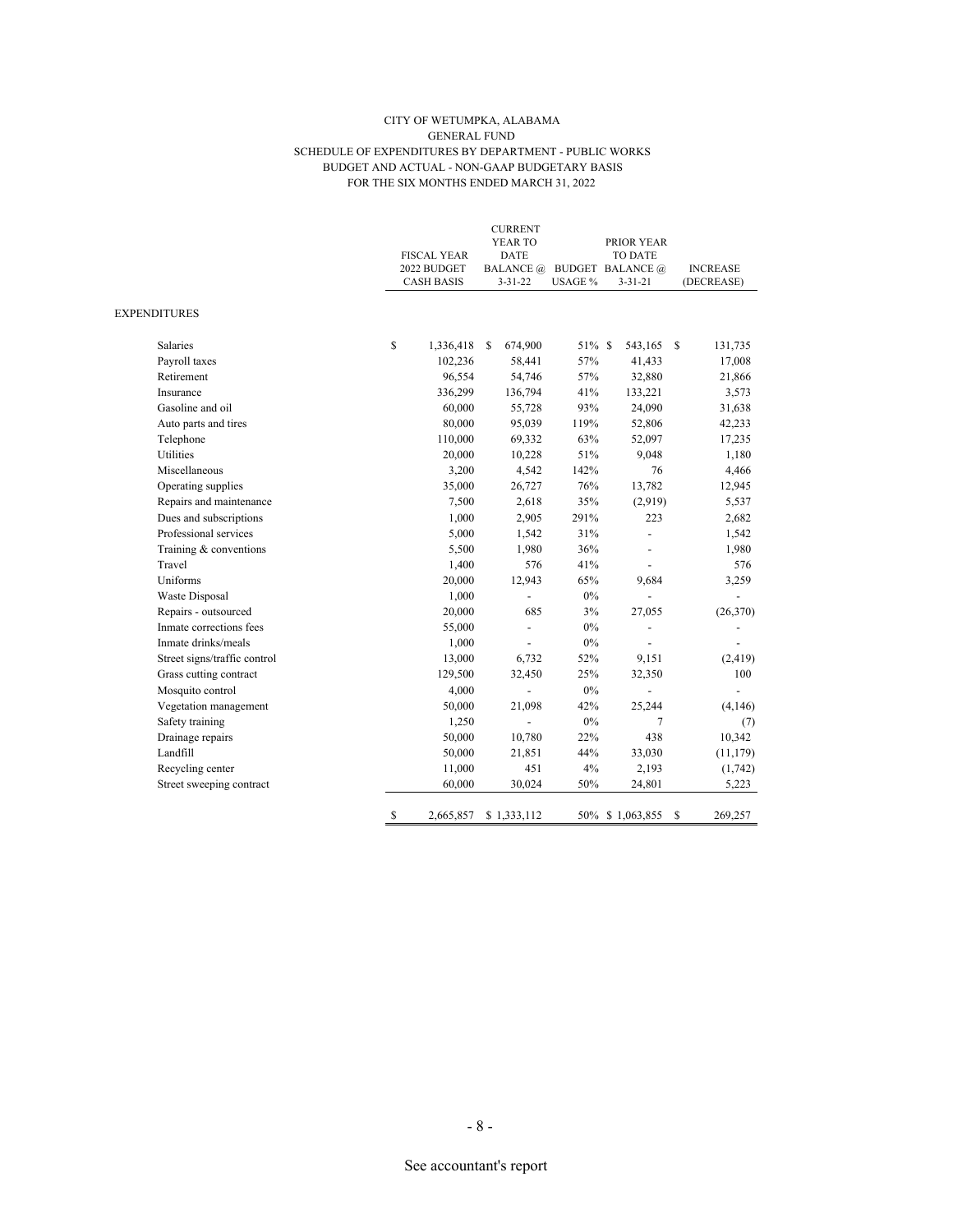#### CITY OF WETUMPKA, ALABAMA GENERAL FUND SCHEDULE OF EXPENDITURES BY DEPARTMENT - PUBLIC WORKS BUDGET AND ACTUAL - NON-GAAP BUDGETARY BASIS FOR THE SIX MONTHS ENDED MARCH 31, 2022

|                              | <b>FISCAL YEAR</b><br>2022 BUDGET<br>CASH BASIS |           | <b>CURRENT</b><br>YEAR TO<br>DATE<br><b>BALANCE</b> @<br>$3 - 31 - 22$ | USAGE % | PRIOR YEAR<br>TO DATE<br><b>BUDGET BALANCE</b> @<br>$3 - 31 - 21$ | <b>INCREASE</b><br>(DECREASE) |
|------------------------------|-------------------------------------------------|-----------|------------------------------------------------------------------------|---------|-------------------------------------------------------------------|-------------------------------|
| EXPENDITURES                 |                                                 |           |                                                                        |         |                                                                   |                               |
| Salaries                     | \$                                              | 1,336,418 | 674,900<br>-S                                                          | 51% \$  | 543,165                                                           | - S<br>131,735                |
| Payroll taxes                |                                                 | 102,236   | 58,441                                                                 | 57%     | 41,433                                                            | 17,008                        |
| Retirement                   |                                                 | 96,554    | 54,746                                                                 | 57%     | 32,880                                                            | 21,866                        |
| Insurance                    |                                                 | 336,299   | 136,794                                                                | 41%     | 133,221                                                           | 3,573                         |
| Gasoline and oil             |                                                 | 60,000    | 55,728                                                                 | 93%     | 24,090                                                            | 31,638                        |
| Auto parts and tires         |                                                 | 80,000    | 95,039                                                                 | 119%    | 52,806                                                            | 42,233                        |
| Telephone                    |                                                 | 110,000   | 69,332                                                                 | 63%     | 52,097                                                            | 17,235                        |
| Utilities                    |                                                 | 20,000    | 10,228                                                                 | 51%     | 9,048                                                             | 1,180                         |
| Miscellaneous                |                                                 | 3,200     | 4,542                                                                  | 142%    | 76                                                                | 4,466                         |
| Operating supplies           |                                                 | 35,000    | 26,727                                                                 | 76%     | 13,782                                                            | 12,945                        |
| Repairs and maintenance      |                                                 | 7,500     | 2,618                                                                  | 35%     | (2,919)                                                           | 5,537                         |
| Dues and subscriptions       |                                                 | 1,000     | 2,905                                                                  | 291%    | 223                                                               | 2,682                         |
| Professional services        |                                                 | 5,000     | 1,542                                                                  | 31%     |                                                                   | 1,542                         |
| Training & conventions       |                                                 | 5,500     | 1,980                                                                  | 36%     |                                                                   | 1,980                         |
| Travel                       |                                                 | 1,400     | 576                                                                    | 41%     |                                                                   | 576                           |
| Uniforms                     |                                                 | 20,000    | 12,943                                                                 | 65%     | 9,684                                                             | 3,259                         |
| Waste Disposal               |                                                 | 1,000     | $\overline{a}$                                                         | 0%      |                                                                   |                               |
| Repairs - outsourced         |                                                 | 20,000    | 685                                                                    | 3%      | 27,055                                                            | (26, 370)                     |
| Inmate corrections fees      |                                                 | 55,000    | $\overline{a}$                                                         | $0\%$   |                                                                   |                               |
| Inmate drinks/meals          |                                                 | 1,000     |                                                                        | $0\%$   |                                                                   |                               |
| Street signs/traffic control |                                                 | 13,000    | 6,732                                                                  | 52%     | 9,151                                                             | (2, 419)                      |
| Grass cutting contract       |                                                 | 129,500   | 32,450                                                                 | 25%     | 32,350                                                            | 100                           |
| Mosquito control             |                                                 | 4,000     |                                                                        | $0\%$   |                                                                   |                               |
| Vegetation management        |                                                 | 50,000    | 21,098                                                                 | 42%     | 25,244                                                            | (4,146)                       |
| Safety training              |                                                 | 1,250     |                                                                        | 0%      | 7                                                                 | (7)                           |
| Drainage repairs             |                                                 | 50,000    | 10,780                                                                 | 22%     | 438                                                               | 10,342                        |
| Landfill                     |                                                 | 50,000    | 21,851                                                                 | 44%     | 33,030                                                            | (11, 179)                     |
| Recycling center             |                                                 | 11,000    | 451                                                                    | 4%      | 2,193                                                             | (1,742)                       |
| Street sweeping contract     |                                                 | 60,000    | 30,024                                                                 | 50%     | 24,801                                                            | 5,223                         |
|                              | \$                                              | 2,665,857 | \$1,333,112                                                            |         | 50% \$1,063,855                                                   | \$<br>269,257                 |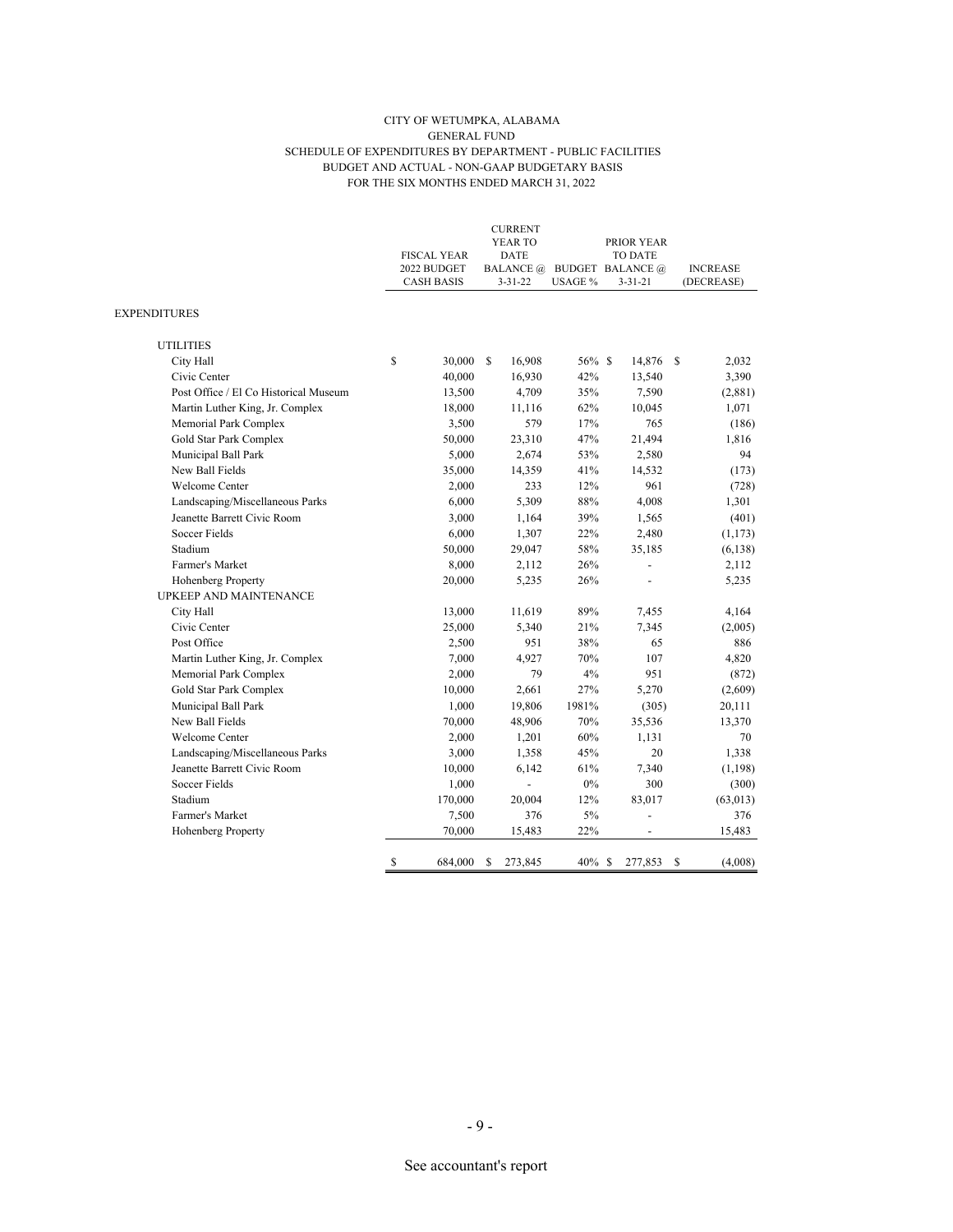#### CITY OF WETUMPKA, ALABAMA GENERAL FUND SCHEDULE OF EXPENDITURES BY DEPARTMENT - PUBLIC FACILITIES BUDGET AND ACTUAL - NON-GAAP BUDGETARY BASIS FOR THE SIX MONTHS ENDED MARCH 31, 2022

|                                       | <b>FISCAL YEAR</b>               | <b>CURRENT</b><br>YEAR TO<br><b>DATE</b> |           | PRIOR YEAR<br><b>TO DATE</b>             |                               |
|---------------------------------------|----------------------------------|------------------------------------------|-----------|------------------------------------------|-------------------------------|
|                                       | 2022 BUDGET<br><b>CASH BASIS</b> | <b>BALANCE</b> @<br>$3 - 31 - 22$        | USAGE %   | <b>BUDGET BALANCE</b> @<br>$3 - 31 - 21$ | <b>INCREASE</b><br>(DECREASE) |
| <b>EXPENDITURES</b>                   |                                  |                                          |           |                                          |                               |
| <b>UTILITIES</b>                      |                                  |                                          |           |                                          |                               |
| City Hall                             | \$<br>30,000                     | S.<br>16,908                             | 56% \$    | 14,876 \$                                | 2,032                         |
| Civic Center                          | 40,000                           | 16,930                                   | 42%       | 13,540                                   | 3,390                         |
| Post Office / El Co Historical Museum | 13,500                           | 4,709                                    | 35%       | 7,590                                    | (2,881)                       |
| Martin Luther King, Jr. Complex       | 18,000                           | 11,116                                   | 62%       | 10,045                                   | 1,071                         |
| Memorial Park Complex                 | 3,500                            | 579                                      | 17%       | 765                                      | (186)                         |
| Gold Star Park Complex                | 50,000                           | 23,310                                   | 47%       | 21,494                                   | 1,816                         |
| Municipal Ball Park                   | 5,000                            | 2,674                                    | 53%       | 2,580                                    | 94                            |
| New Ball Fields                       | 35,000                           | 14,359                                   | 41%       | 14,532                                   | (173)                         |
| <b>Welcome Center</b>                 | 2,000                            | 233                                      | 12%       | 961                                      | (728)                         |
| Landscaping/Miscellaneous Parks       | 6,000                            | 5,309                                    | 88%       | 4,008                                    | 1,301                         |
| Jeanette Barrett Civic Room           | 3,000                            | 1,164                                    | 39%       | 1,565                                    | (401)                         |
| <b>Soccer Fields</b>                  | 6,000                            | 1,307                                    | 22%       | 2,480                                    | (1, 173)                      |
| Stadium                               | 50,000                           | 29,047                                   | 58%       | 35,185                                   | (6, 138)                      |
| Farmer's Market                       | 8,000                            | 2,112                                    | 26%       |                                          | 2,112                         |
| <b>Hohenberg Property</b>             | 20,000                           | 5,235                                    | 26%       |                                          | 5,235                         |
| UPKEEP AND MAINTENANCE                |                                  |                                          |           |                                          |                               |
| City Hall                             | 13,000                           | 11,619                                   | 89%       | 7,455                                    | 4,164                         |
| Civic Center                          | 25,000                           | 5,340                                    | 21%       | 7,345                                    | (2,005)                       |
| Post Office                           | 2,500                            | 951                                      | 38%       | 65                                       | 886                           |
| Martin Luther King, Jr. Complex       | 7,000                            | 4,927                                    | 70%       | 107                                      | 4,820                         |
| Memorial Park Complex                 | 2,000                            | 79                                       | 4%        | 951                                      | (872)                         |
| Gold Star Park Complex                | 10,000                           | 2,661                                    | 27%       | 5,270                                    | (2,609)                       |
| Municipal Ball Park                   | 1,000                            | 19,806                                   | 1981%     | (305)                                    | 20,111                        |
| New Ball Fields                       | 70,000                           | 48,906                                   | 70%       | 35,536                                   | 13,370                        |
| Welcome Center                        | 2,000                            | 1,201                                    | 60%       | 1,131                                    | 70                            |
| Landscaping/Miscellaneous Parks       | 3,000                            | 1,358                                    | 45%       | 20                                       | 1,338                         |
| Jeanette Barrett Civic Room           | 10,000                           | 6,142                                    | 61%       | 7,340                                    | (1, 198)                      |
| Soccer Fields                         | 1,000                            |                                          | $0\%$     | 300                                      | (300)                         |
| Stadium                               | 170,000                          | 20,004                                   | 12%       | 83,017                                   | (63, 013)                     |
| Farmer's Market                       | 7,500                            | 376                                      | 5%        |                                          | 376                           |
| Hohenberg Property                    | 70,000                           | 15,483                                   | 22%       | $\overline{\phantom{0}}$                 | 15,483                        |
|                                       | \$<br>684,000                    | S<br>273,845                             | $40\%$ \$ | 277,853                                  | (4,008)<br>S                  |

- 9 -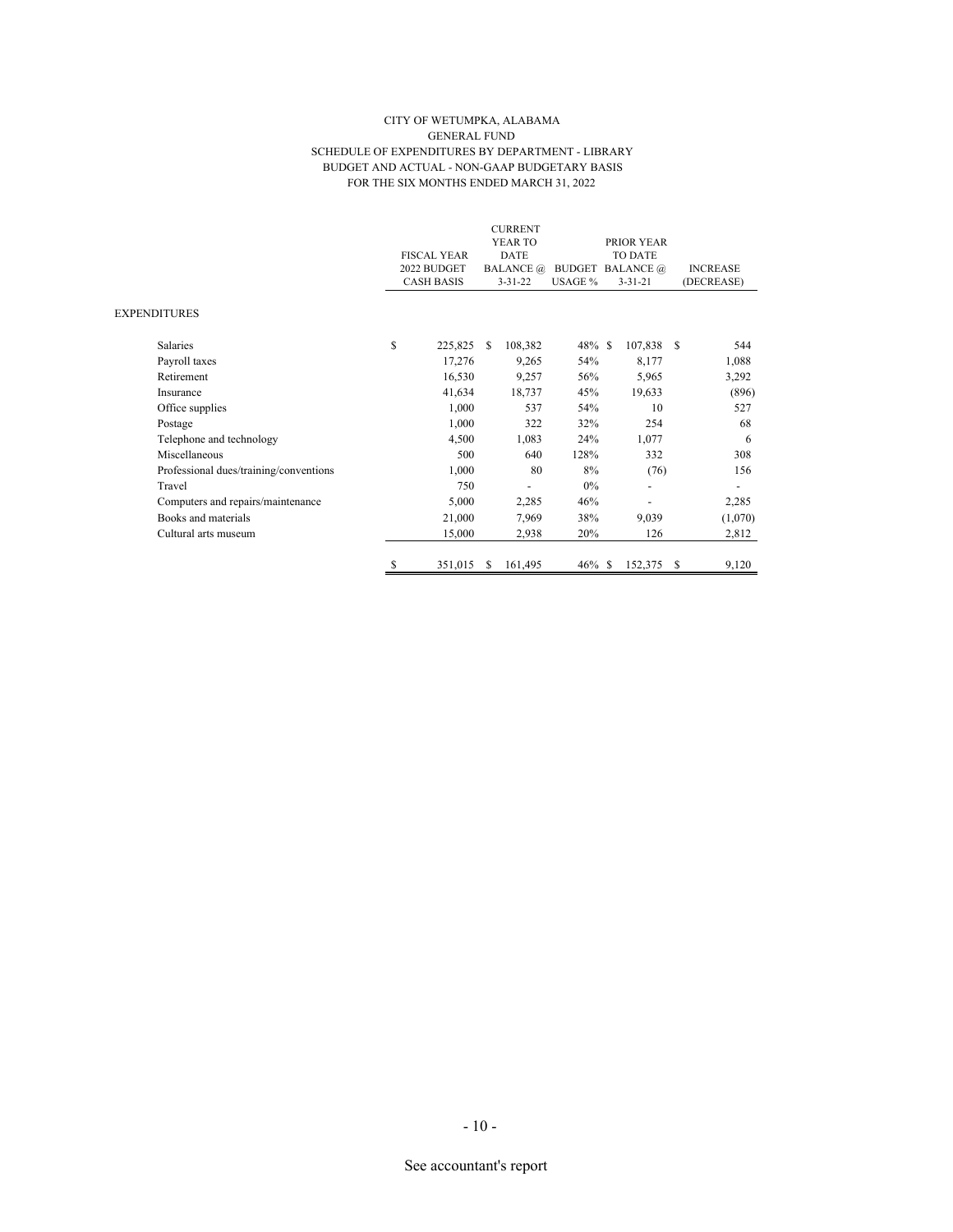#### CITY OF WETUMPKA, ALABAMA GENERAL FUND SCHEDULE OF EXPENDITURES BY DEPARTMENT - LIBRARY BUDGET AND ACTUAL - NON-GAAP BUDGETARY BASIS FOR THE SIX MONTHS ENDED MARCH 31, 2022

|                                        |                    |                  | <b>CURRENT</b> |           |                         |                          |                 |            |
|----------------------------------------|--------------------|------------------|----------------|-----------|-------------------------|--------------------------|-----------------|------------|
|                                        |                    |                  | YEAR TO        |           |                         | PRIOR YEAR               |                 |            |
|                                        | <b>FISCAL YEAR</b> |                  | <b>DATE</b>    |           | TO DATE                 |                          |                 |            |
|                                        | 2022 BUDGET        | <b>BALANCE</b> @ |                |           | <b>BUDGET BALANCE</b> @ |                          | <b>INCREASE</b> |            |
|                                        | <b>CASH BASIS</b>  |                  | $3 - 31 - 22$  | USAGE %   |                         | $3 - 31 - 21$            |                 | (DECREASE) |
| <b>EXPENDITURES</b>                    |                    |                  |                |           |                         |                          |                 |            |
| <b>Salaries</b>                        | \$<br>225,825      | -S               | 108,382        | $48\%$ \$ |                         | 107,838 \$               |                 | 544        |
| Payroll taxes                          | 17,276             |                  | 9,265          | 54%       |                         | 8,177                    |                 | 1,088      |
| Retirement                             | 16,530             |                  | 9,257          | 56%       |                         | 5,965                    |                 | 3,292      |
| Insurance                              | 41,634             |                  | 18,737         | 45%       |                         | 19,633                   |                 | (896)      |
| Office supplies                        | 1,000              |                  | 537            | 54%       |                         | 10                       |                 | 527        |
| Postage                                | 1,000              |                  | 322            | 32%       |                         | 254                      |                 | 68         |
| Telephone and technology               | 4,500              |                  | 1,083          | 24%       |                         | 1,077                    |                 | 6          |
| Miscellaneous                          | 500                |                  | 640            | 128%      |                         | 332                      |                 | 308        |
| Professional dues/training/conventions | 1,000              |                  | 80             | 8%        |                         | (76)                     |                 | 156        |
| Travel                                 | 750                |                  | ٠              | $0\%$     |                         | $\overline{\phantom{0}}$ |                 |            |
| Computers and repairs/maintenance      | 5,000              |                  | 2,285          | 46%       |                         |                          |                 | 2,285      |
| Books and materials                    | 21,000             |                  | 7,969          | 38%       |                         | 9,039                    |                 | (1,070)    |
| Cultural arts museum                   | 15,000             |                  | 2,938          | 20%       |                         | 126                      |                 | 2,812      |
|                                        | \$<br>351,015      | <sup>\$</sup>    | 161,495        | $46\%$ \$ |                         | 152,375                  | S               | 9,120      |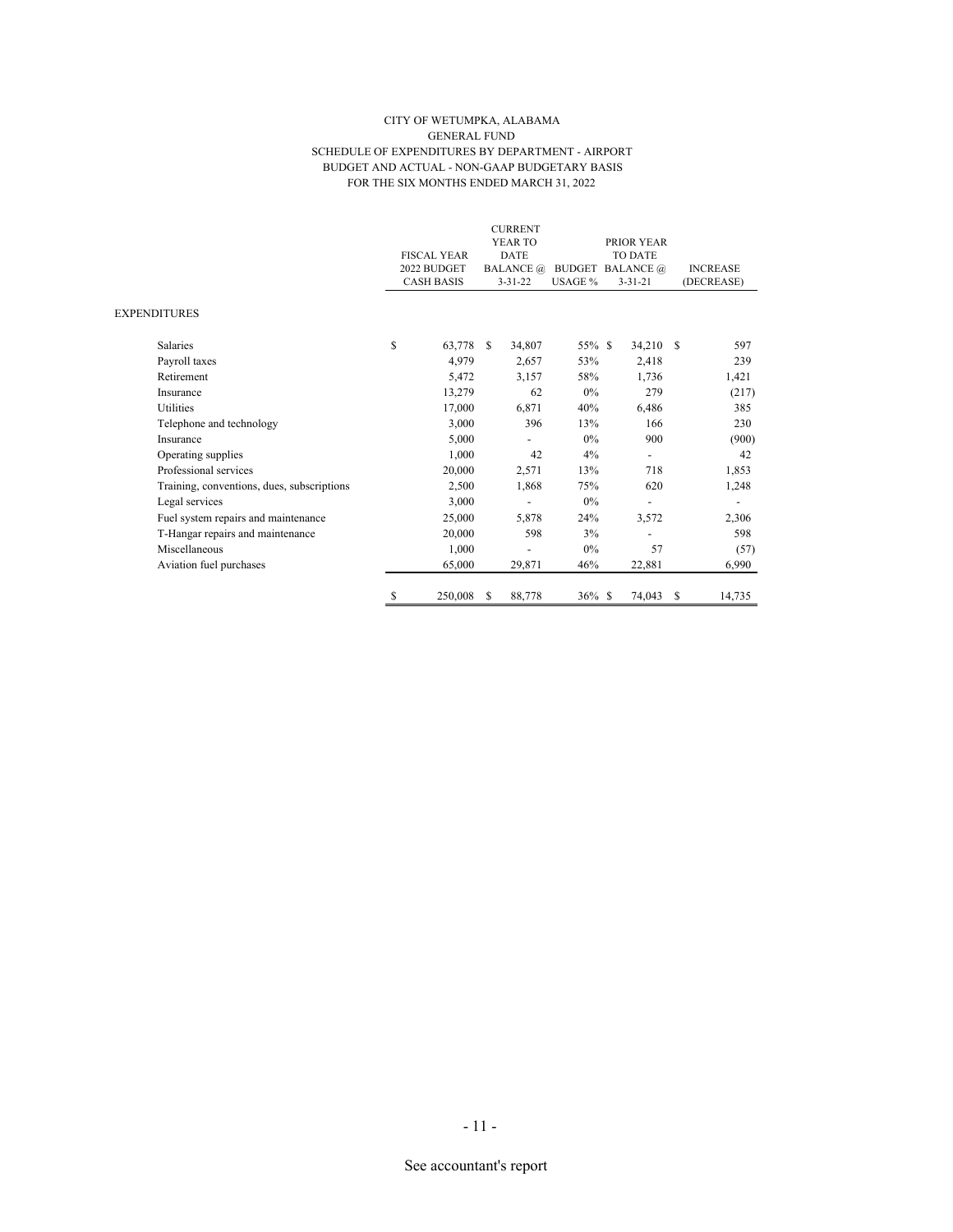#### CITY OF WETUMPKA, ALABAMA GENERAL FUND SCHEDULE OF EXPENDITURES BY DEPARTMENT - AIRPORT BUDGET AND ACTUAL - NON-GAAP BUDGETARY BASIS FOR THE SIX MONTHS ENDED MARCH 31, 2022

|                                            |                    |               | <b>CURRENT</b><br>YEAR TO |                         | PRIOR YEAR               |   |                 |
|--------------------------------------------|--------------------|---------------|---------------------------|-------------------------|--------------------------|---|-----------------|
|                                            | <b>FISCAL YEAR</b> |               | <b>DATE</b>               |                         | <b>TO DATE</b>           |   |                 |
|                                            | 2022 BUDGET        |               | <b>BALANCE</b> @          | <b>BUDGET BALANCE</b> @ |                          |   | <b>INCREASE</b> |
|                                            | <b>CASH BASIS</b>  |               | $3 - 31 - 22$             | USAGE %                 | $3 - 31 - 21$            |   | (DECREASE)      |
| EXPENDITURES                               |                    |               |                           |                         |                          |   |                 |
| Salaries                                   | \$<br>63,778       | <sup>\$</sup> | 34,807                    | 55% \$                  | 34,210 \$                |   | 597             |
| Payroll taxes                              | 4,979              |               | 2,657                     | 53%                     | 2,418                    |   | 239             |
| Retirement                                 | 5,472              |               | 3,157                     | 58%                     | 1,736                    |   | 1,421           |
| Insurance                                  | 13,279             |               | 62                        | $0\%$                   | 279                      |   | (217)           |
| Utilities                                  | 17,000             |               | 6,871                     | 40%                     | 6,486                    |   | 385             |
| Telephone and technology                   | 3,000              |               | 396                       | 13%                     | 166                      |   | 230             |
| Insurance                                  | 5,000              |               |                           | 0%                      | 900                      |   | (900)           |
| Operating supplies                         | 1,000              |               | 42                        | 4%                      | $\overline{\phantom{0}}$ |   | 42              |
| Professional services                      | 20,000             |               | 2,571                     | 13%                     | 718                      |   | 1,853           |
| Training, conventions, dues, subscriptions | 2,500              |               | 1,868                     | 75%                     | 620                      |   | 1,248           |
| Legal services                             | 3,000              |               |                           | $0\%$                   |                          |   |                 |
| Fuel system repairs and maintenance        | 25,000             |               | 5,878                     | 24%                     | 3,572                    |   | 2,306           |
| T-Hangar repairs and maintenance           | 20,000             |               | 598                       | 3%                      |                          |   | 598             |
| Miscellaneous                              | 1,000              |               | -                         | 0%                      | 57                       |   | (57)            |
| Aviation fuel purchases                    | 65,000             |               | 29,871                    | 46%                     | 22,881                   |   | 6,990           |
|                                            | \$<br>250,008      | S             | 88,778                    | $36\%$ \$               | 74,043                   | S | 14,735          |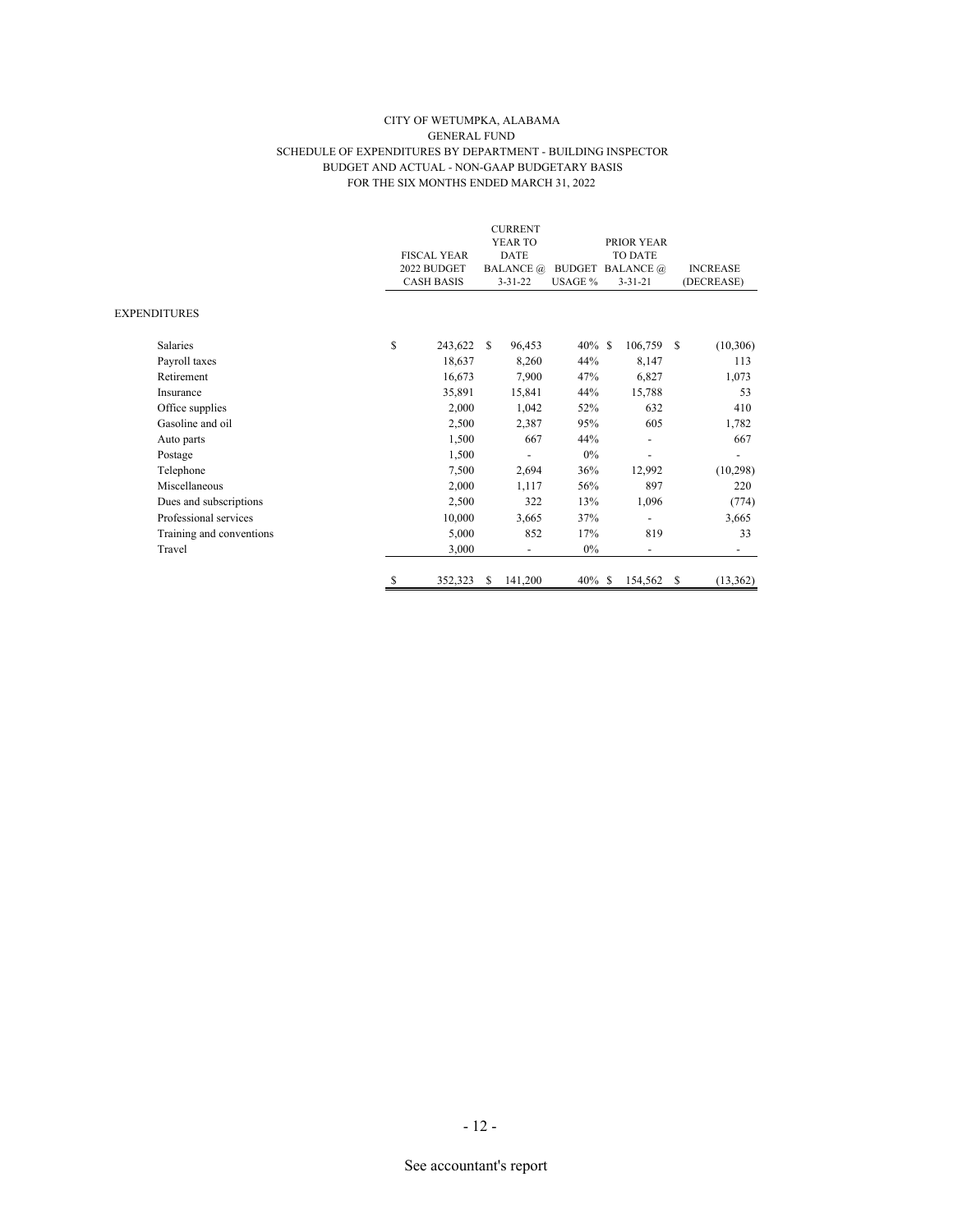#### CITY OF WETUMPKA, ALABAMA GENERAL FUND SCHEDULE OF EXPENDITURES BY DEPARTMENT - BUILDING INSPECTOR BUDGET AND ACTUAL - NON-GAAP BUDGETARY BASIS FOR THE SIX MONTHS ENDED MARCH 31, 2022

|                     |                          |    |                    |     | <b>CURRENT</b>           |           |                         |                          |                 |            |
|---------------------|--------------------------|----|--------------------|-----|--------------------------|-----------|-------------------------|--------------------------|-----------------|------------|
|                     |                          |    |                    |     | YEAR TO                  |           |                         | PRIOR YEAR               |                 |            |
|                     |                          |    | <b>FISCAL YEAR</b> |     | <b>DATE</b>              |           | <b>TO DATE</b>          |                          |                 |            |
|                     |                          |    | 2022 BUDGET        |     | <b>BALANCE</b> @         |           | <b>BUDGET BALANCE</b> @ |                          | <b>INCREASE</b> |            |
|                     |                          |    | <b>CASH BASIS</b>  |     | $3 - 31 - 22$            | USAGE %   |                         | $3 - 31 - 21$            |                 | (DECREASE) |
| <b>EXPENDITURES</b> |                          |    |                    |     |                          |           |                         |                          |                 |            |
|                     | <b>Salaries</b>          | \$ | 243,622            | -S  | 96,453                   | $40\%$ \$ |                         | 106,759                  | - \$            | (10,306)   |
|                     | Payroll taxes            |    | 18,637             |     | 8,260                    | 44%       |                         | 8,147                    |                 | 113        |
|                     | Retirement               |    | 16,673             |     | 7,900                    | 47%       |                         | 6,827                    |                 | 1,073      |
|                     | Insurance                |    | 35,891             |     | 15,841                   | 44%       |                         | 15,788                   |                 | 53         |
|                     | Office supplies          |    | 2,000              |     | 1,042                    | 52%       |                         | 632                      |                 | 410        |
|                     | Gasoline and oil         |    | 2,500              |     | 2,387                    | 95%       |                         | 605                      |                 | 1,782      |
|                     | Auto parts               |    | 1,500              |     | 667                      | 44%       |                         |                          |                 | 667        |
|                     | Postage                  |    | 1,500              |     |                          | 0%        |                         |                          |                 |            |
|                     | Telephone                |    | 7,500              |     | 2,694                    | 36%       |                         | 12,992                   |                 | (10, 298)  |
|                     | Miscellaneous            |    | 2,000              |     | 1,117                    | 56%       |                         | 897                      |                 | 220        |
|                     | Dues and subscriptions   |    | 2,500              |     | 322                      | 13%       |                         | 1,096                    |                 | (774)      |
|                     | Professional services    |    | 10,000             |     | 3,665                    | 37%       |                         |                          |                 | 3,665      |
|                     | Training and conventions |    | 5,000              |     | 852                      | 17%       |                         | 819                      |                 | 33         |
|                     | Travel                   |    | 3,000              |     | $\overline{\phantom{a}}$ | $0\%$     |                         | $\overline{\phantom{a}}$ |                 | -          |
|                     |                          | \$ | 352,323            | \$. | 141,200                  | $40\%$ \$ |                         | 154,562                  | -S              | (13, 362)  |

# - 12 -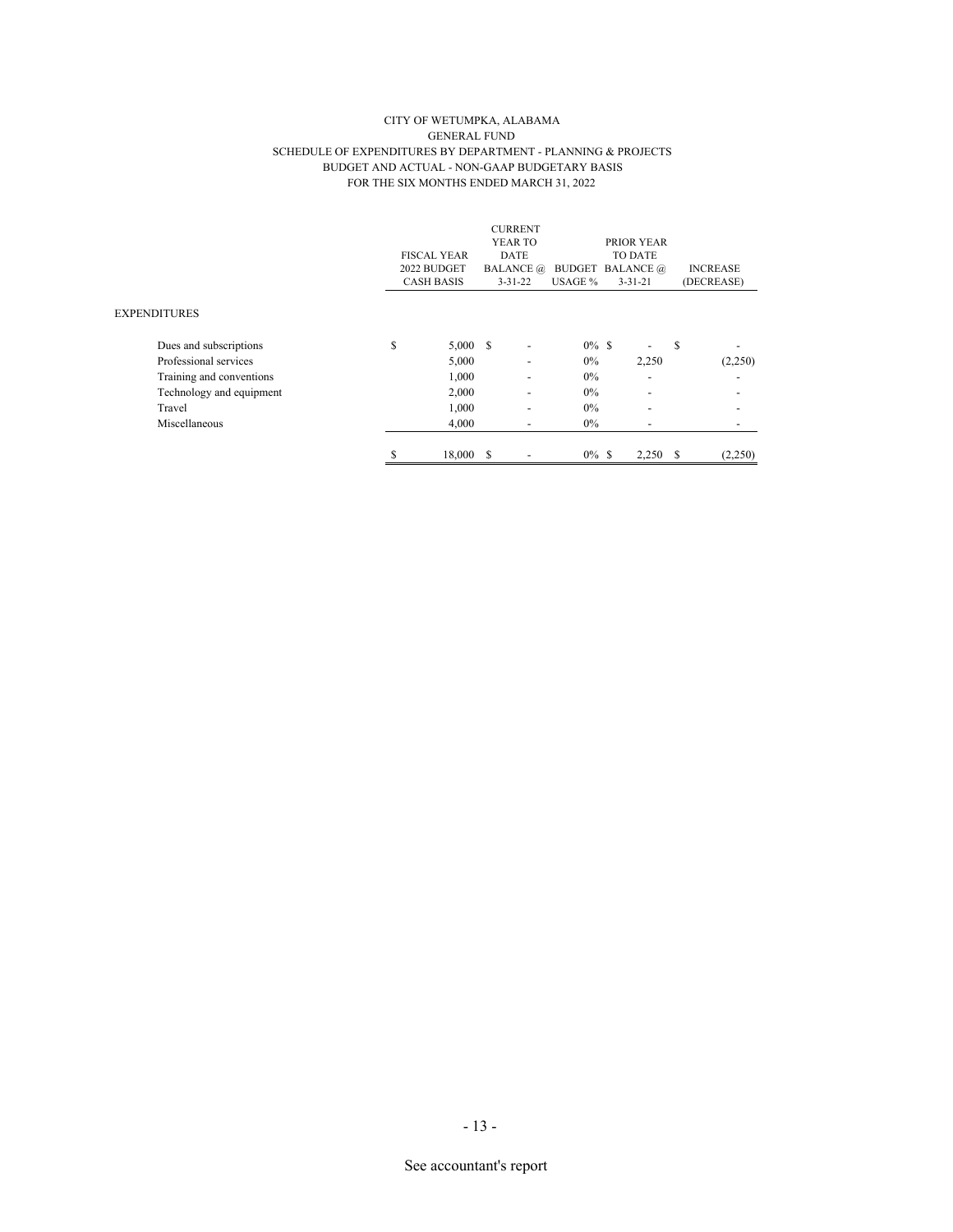#### CITY OF WETUMPKA, ALABAMA GENERAL FUND SCHEDULE OF EXPENDITURES BY DEPARTMENT - PLANNING & PROJECTS BUDGET AND ACTUAL - NON-GAAP BUDGETARY BASIS FOR THE SIX MONTHS ENDED MARCH 31, 2022

|                          |                    |           |               | <b>CURRENT</b>               |          |                          |   |                 |
|--------------------------|--------------------|-----------|---------------|------------------------------|----------|--------------------------|---|-----------------|
|                          |                    |           |               | YEAR TO                      |          | PRIOR YEAR               |   |                 |
|                          | <b>FISCAL YEAR</b> |           |               | DATE                         |          | <b>TO DATE</b>           |   |                 |
|                          | 2022 BUDGET        |           |               | <b>BALANCE</b> @             |          | <b>BUDGET BALANCE</b> @  |   | <b>INCREASE</b> |
|                          | <b>CASH BASIS</b>  |           | $3 - 31 - 22$ |                              | USAGE %  | $3 - 31 - 21$            |   | (DECREASE)      |
| <b>EXPENDITURES</b>      |                    |           |               |                              |          |                          |   |                 |
| Dues and subscriptions   | S                  | 5,000 S   |               | $\qquad \qquad \blacksquare$ | $0\%$ \$ |                          | S |                 |
| Professional services    |                    | 5,000     |               | $\overline{\phantom{0}}$     | $0\%$    | 2,250                    |   | (2,250)         |
| Training and conventions |                    | 1,000     |               | $\overline{\phantom{0}}$     | $0\%$    | ٠                        |   |                 |
| Technology and equipment |                    | 2,000     |               | $\overline{\phantom{0}}$     | $0\%$    | $\overline{\phantom{0}}$ |   |                 |
| Travel                   |                    | 1,000     |               | $\overline{\phantom{0}}$     | $0\%$    | ٠                        |   |                 |
| Miscellaneous            |                    | 4,000     |               | -                            | $0\%$    |                          |   |                 |
|                          | ה.                 | 18,000 \$ |               |                              | $0\%$ \$ | 2,250                    | S | (2,250)         |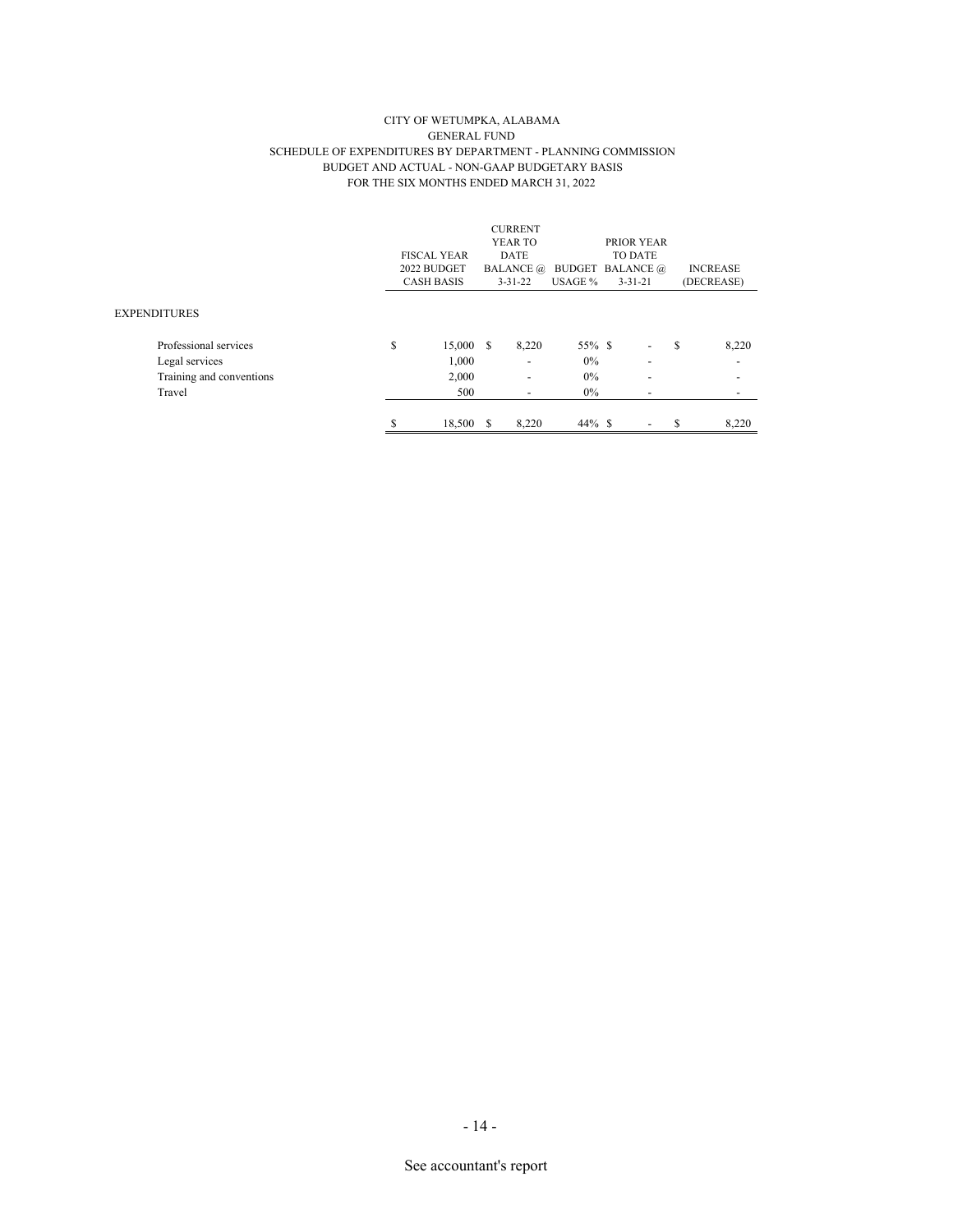#### CITY OF WETUMPKA, ALABAMA GENERAL FUND SCHEDULE OF EXPENDITURES BY DEPARTMENT - PLANNING COMMISSION BUDGET AND ACTUAL - NON-GAAP BUDGETARY BASIS FOR THE SIX MONTHS ENDED MARCH 31, 2022

|                          |                    |    | <b>CURRENT</b>           |                         |                          |   |                          |
|--------------------------|--------------------|----|--------------------------|-------------------------|--------------------------|---|--------------------------|
|                          |                    |    | YEAR TO                  |                         | PRIOR YEAR               |   |                          |
|                          | <b>FISCAL YEAR</b> |    | <b>DATE</b>              |                         | <b>TO DATE</b>           |   |                          |
|                          | 2022 BUDGET        |    | <b>BALANCE</b> @         | <b>BUDGET BALANCE</b> @ |                          |   | <b>INCREASE</b>          |
|                          | <b>CASH BASIS</b>  |    | $3 - 31 - 22$            | USAGE %                 | $3 - 31 - 21$            |   | (DECREASE)               |
|                          |                    |    |                          |                         |                          |   |                          |
| <b>EXPENDITURES</b>      |                    |    |                          |                         |                          |   |                          |
| Professional services    | \$<br>15,000 \$    |    | 8,220                    | 55% \$                  | -                        | S | 8,220                    |
| Legal services           | 1,000              |    | ٠                        | $0\%$                   | $\overline{\phantom{a}}$ |   | $\overline{\phantom{a}}$ |
| Training and conventions | 2,000              |    | $\overline{\phantom{a}}$ | $0\%$                   | $\overline{\phantom{a}}$ |   | $\overline{\phantom{a}}$ |
| Travel                   | 500                |    | $\overline{\phantom{a}}$ | $0\%$                   |                          |   | $\overline{\phantom{a}}$ |
|                          |                    |    |                          |                         |                          |   |                          |
|                          | \$<br>18,500       | -S | 8.220                    | $44\%$ \$               | -                        | S | 8.220                    |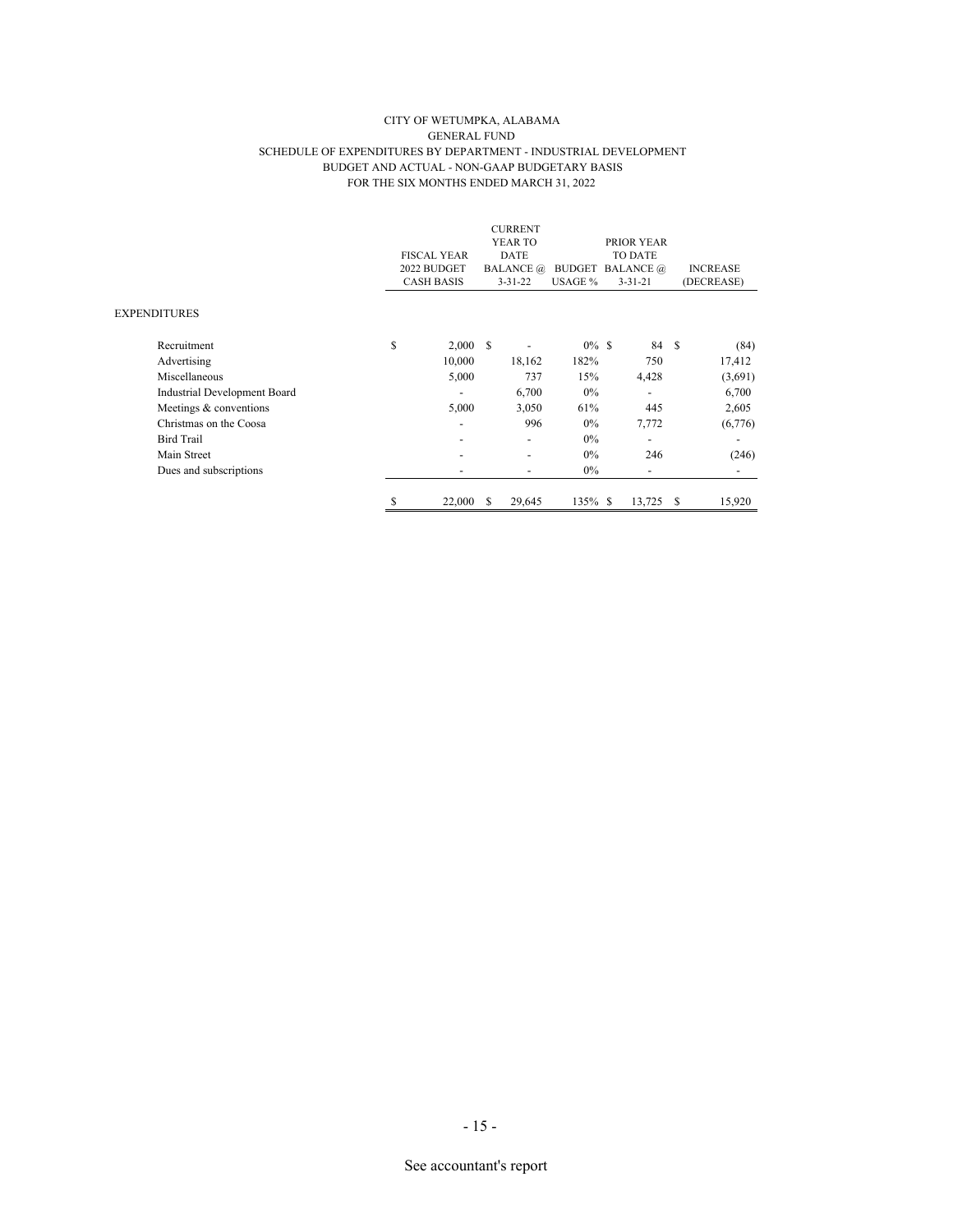#### CITY OF WETUMPKA, ALABAMA GENERAL FUND SCHEDULE OF EXPENDITURES BY DEPARTMENT - INDUSTRIAL DEVELOPMENT BUDGET AND ACTUAL - NON-GAAP BUDGETARY BASIS FOR THE SIX MONTHS ENDED MARCH 31, 2022

|                              |    | <b>FISCAL YEAR</b><br>2022 BUDGET<br><b>CASH BASIS</b> |    | <b>CURRENT</b><br>YEAR TO<br>DATE<br><b>BALANCE</b> @<br>$3 - 31 - 22$ | <b>BUDGET BALANCE</b> @<br>USAGE % | PRIOR YEAR<br><b>TO DATE</b><br>$3 - 31 - 21$ |    | <b>INCREASE</b><br>(DECREASE) |
|------------------------------|----|--------------------------------------------------------|----|------------------------------------------------------------------------|------------------------------------|-----------------------------------------------|----|-------------------------------|
| EXPENDITURES                 |    |                                                        |    |                                                                        |                                    |                                               |    |                               |
| Recruitment                  | \$ | 2,000                                                  | -S |                                                                        | $0\%$ \$                           | 84 \$                                         |    | (84)                          |
| Advertising                  |    | 10,000                                                 |    | 18,162                                                                 | 182%                               | 750                                           |    | 17,412                        |
| Miscellaneous                |    | 5,000                                                  |    | 737                                                                    | 15%                                | 4,428                                         |    | (3,691)                       |
| Industrial Development Board |    | ٠                                                      |    | 6,700                                                                  | $0\%$                              | ٠                                             |    | 6,700                         |
| Meetings & conventions       |    | 5,000                                                  |    | 3,050                                                                  | 61%                                | 445                                           |    | 2,605                         |
| Christmas on the Coosa       |    |                                                        |    | 996                                                                    | $0\%$                              | 7,772                                         |    | (6,776)                       |
| <b>Bird Trail</b>            |    |                                                        |    |                                                                        | $0\%$                              |                                               |    |                               |
| Main Street                  |    |                                                        |    |                                                                        | $0\%$                              | 246                                           |    | (246)                         |
| Dues and subscriptions       |    |                                                        |    |                                                                        | $0\%$                              | ٠                                             |    |                               |
|                              | ъ  | 22,000                                                 | S  | 29,645                                                                 | 135% \$                            | 13,725                                        | -S | 15,920                        |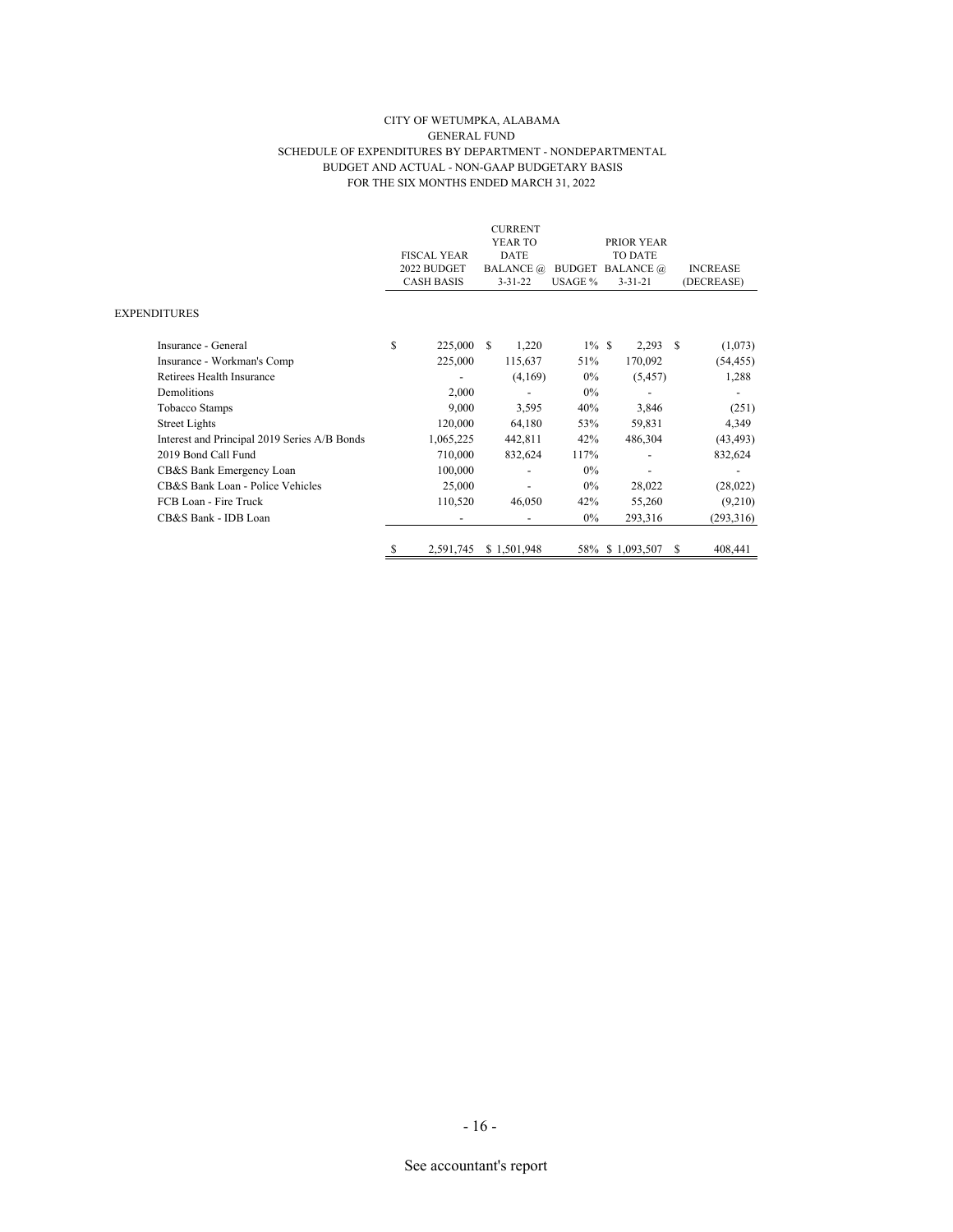#### CITY OF WETUMPKA, ALABAMA GENERAL FUND SCHEDULE OF EXPENDITURES BY DEPARTMENT - NONDEPARTMENTAL BUDGET AND ACTUAL - NON-GAAP BUDGETARY BASIS FOR THE SIX MONTHS ENDED MARCH 31, 2022

|                                              |                    |             | <b>CURRENT</b>           |          |                         |   |                 |
|----------------------------------------------|--------------------|-------------|--------------------------|----------|-------------------------|---|-----------------|
|                                              |                    |             | YEAR TO                  |          | PRIOR YEAR              |   |                 |
|                                              | <b>FISCAL YEAR</b> | <b>DATE</b> |                          |          | <b>TO DATE</b>          |   |                 |
|                                              | 2022 BUDGET        |             | <b>BALANCE</b> @         |          | <b>BUDGET BALANCE</b> @ |   | <b>INCREASE</b> |
|                                              | <b>CASH BASIS</b>  |             | $3 - 31 - 22$            | USAGE %  | $3 - 31 - 21$           |   | (DECREASE)      |
|                                              |                    |             |                          |          |                         |   |                 |
| <b>EXPENDITURES</b>                          |                    |             |                          |          |                         |   |                 |
| Insurance - General                          | \$<br>225,000      | -S          | 1,220                    | $1\%$ \$ | $2,293$ \$              |   | (1,073)         |
| Insurance - Workman's Comp                   | 225,000            |             | 115,637                  | 51%      | 170,092                 |   | (54, 455)       |
| Retirees Health Insurance                    |                    |             | (4,169)                  | $0\%$    | (5, 457)                |   | 1,288           |
| Demolitions                                  | 2,000              |             |                          | $0\%$    |                         |   |                 |
| Tobacco Stamps                               | 9,000              |             | 3,595                    | 40%      | 3,846                   |   | (251)           |
| <b>Street Lights</b>                         | 120,000            |             | 64,180                   | 53%      | 59,831                  |   | 4,349           |
| Interest and Principal 2019 Series A/B Bonds | 1,065,225          |             | 442,811                  | 42%      | 486,304                 |   | (43, 493)       |
| 2019 Bond Call Fund                          | 710,000            |             | 832,624                  | 117%     |                         |   | 832,624         |
| CB&S Bank Emergency Loan                     | 100,000            |             |                          | $0\%$    |                         |   |                 |
| CB&S Bank Loan - Police Vehicles             | 25,000             |             |                          | $0\%$    | 28,022                  |   | (28,022)        |
| FCB Loan - Fire Truck                        | 110,520            |             | 46,050                   | 42%      | 55,260                  |   | (9,210)         |
| CB&S Bank - IDB Loan                         | $\overline{a}$     |             | $\overline{\phantom{a}}$ | $0\%$    | 293,316                 |   | (293,316)       |
|                                              |                    |             |                          |          |                         |   |                 |
|                                              | 2,591,745          |             | \$1,501,948              |          | 58% \$1,093,507         | S | 408,441         |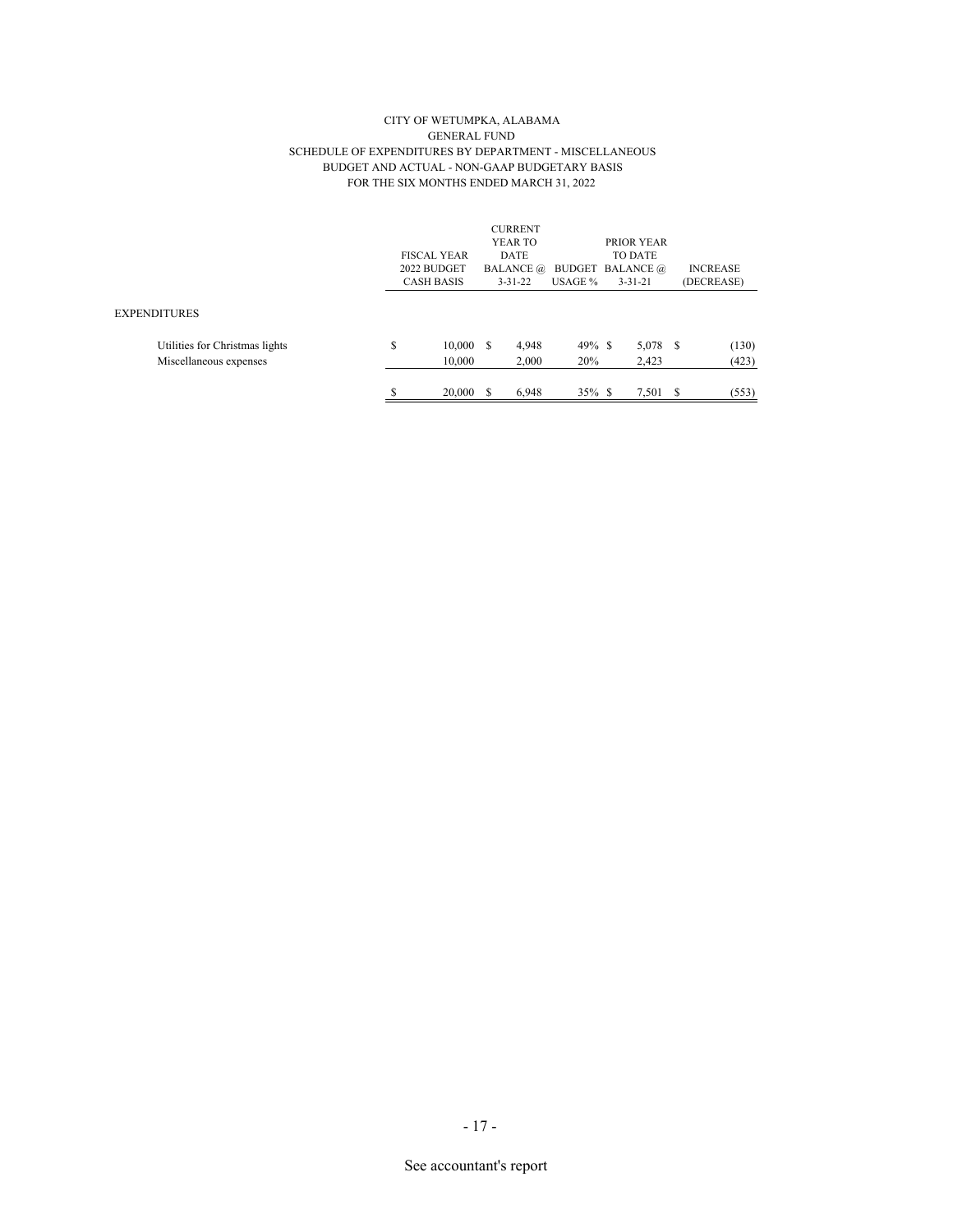#### CITY OF WETUMPKA, ALABAMA GENERAL FUND SCHEDULE OF EXPENDITURES BY DEPARTMENT - MISCELLANEOUS BUDGET AND ACTUAL - NON-GAAP BUDGETARY BASIS FOR THE SIX MONTHS ENDED MARCH 31, 2022

|                                                          | <b>FISCAL YEAR</b><br>2022 BUDGET<br><b>CASH BASIS</b> |   | <b>CURRENT</b><br>YEAR TO<br>DATE<br><b>BALANCE</b> @<br>$3 - 31 - 22$ | USAGE %          | PRIOR YEAR<br><b>TO DATE</b><br><b>BUDGET BALANCE</b> @<br>$3 - 31 - 21$ |      | <b>INCREASE</b><br>(DECREASE) |
|----------------------------------------------------------|--------------------------------------------------------|---|------------------------------------------------------------------------|------------------|--------------------------------------------------------------------------|------|-------------------------------|
| <b>EXPENDITURES</b>                                      |                                                        |   |                                                                        |                  |                                                                          |      |                               |
| Utilities for Christmas lights<br>Miscellaneous expenses | \$<br>10,000<br>10,000                                 | S | 4,948<br>2,000                                                         | $49\%$ \$<br>20% | 5,078<br>2,423                                                           | - \$ | (130)<br>(423)                |
|                                                          | \$<br>20,000                                           |   | 6.948                                                                  | $35\%$ \$        | 7.501                                                                    | S    | (553)                         |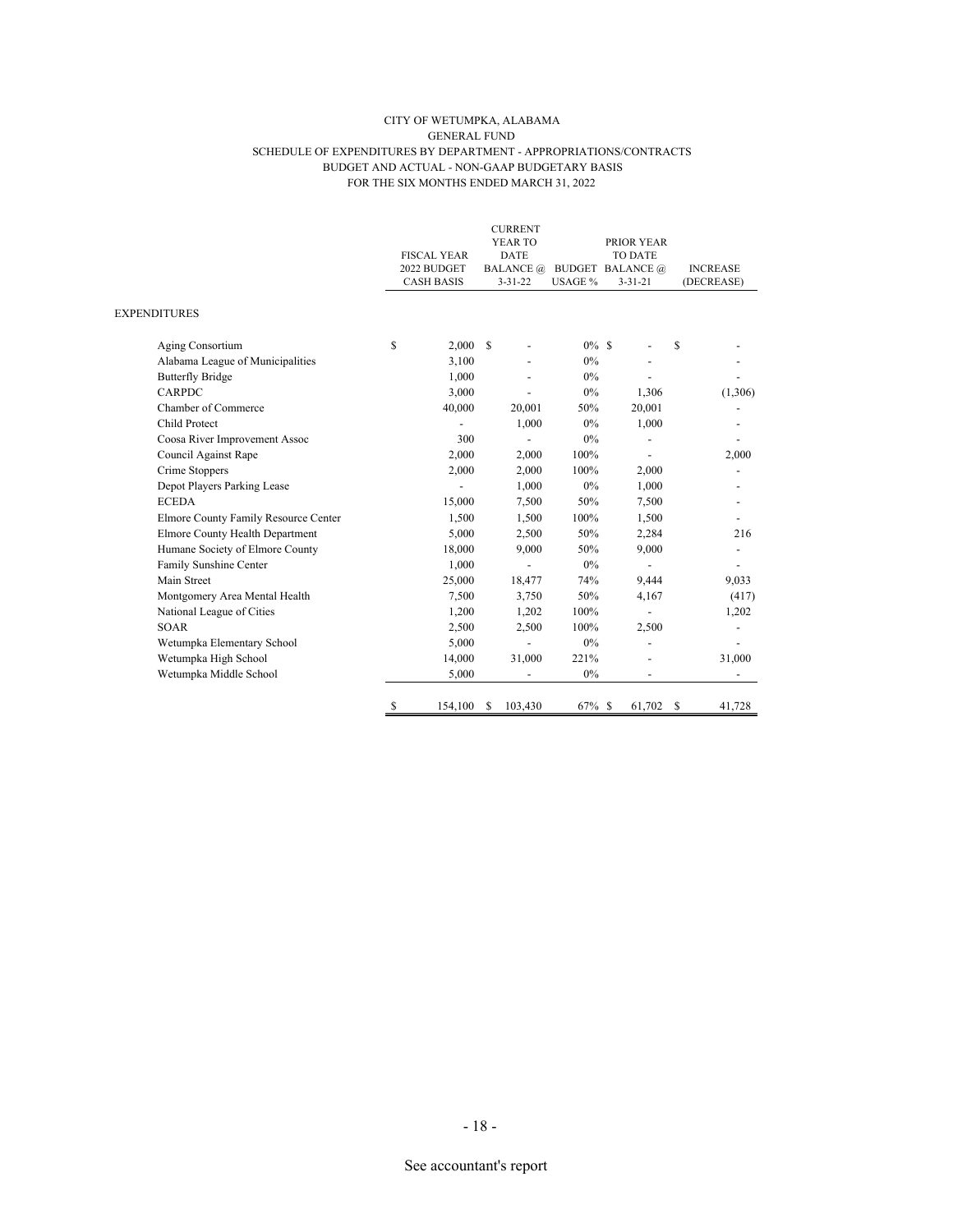#### CITY OF WETUMPKA, ALABAMA GENERAL FUND SCHEDULE OF EXPENDITURES BY DEPARTMENT - APPROPRIATIONS/CONTRACTS BUDGET AND ACTUAL - NON-GAAP BUDGETARY BASIS FOR THE SIX MONTHS ENDED MARCH 31, 2022

|                                      | <b>FISCAL YEAR</b><br>2022 BUDGET<br><b>CASH BASIS</b> |               | <b>CURRENT</b><br>YEAR TO<br><b>DATE</b><br><b>BALANCE</b> @<br>$3 - 31 - 22$ | <b>BUDGET BALANCE</b> @<br>USAGE % | PRIOR YEAR<br><b>TO DATE</b><br>$3 - 31 - 21$ | <b>INCREASE</b><br>(DECREASE) |
|--------------------------------------|--------------------------------------------------------|---------------|-------------------------------------------------------------------------------|------------------------------------|-----------------------------------------------|-------------------------------|
| <b>EXPENDITURES</b>                  |                                                        |               |                                                                               |                                    |                                               |                               |
| Aging Consortium                     | \$<br>2,000                                            | <sup>\$</sup> |                                                                               | $0\%$ \$                           |                                               | \$                            |
| Alabama League of Municipalities     | 3,100                                                  |               |                                                                               | 0%                                 |                                               |                               |
| <b>Butterfly Bridge</b>              | 1,000                                                  |               |                                                                               | 0%                                 |                                               |                               |
| <b>CARPDC</b>                        | 3.000                                                  |               |                                                                               | 0%                                 | 1,306                                         | (1,306)                       |
| Chamber of Commerce                  | 40,000                                                 |               | 20,001                                                                        | 50%                                | 20,001                                        |                               |
| Child Protect                        |                                                        |               | 1,000                                                                         | 0%                                 | 1,000                                         |                               |
| Coosa River Improvement Assoc        | 300                                                    |               |                                                                               | $0\%$                              |                                               |                               |
| Council Against Rape                 | 2,000                                                  |               | 2,000                                                                         | 100%                               |                                               | 2,000                         |
| Crime Stoppers                       | 2,000                                                  |               | 2,000                                                                         | 100%                               | 2,000                                         |                               |
| Depot Players Parking Lease          |                                                        |               | 1,000                                                                         | 0%                                 | 1,000                                         |                               |
| <b>ECEDA</b>                         | 15,000                                                 |               | 7,500                                                                         | 50%                                | 7,500                                         |                               |
| Elmore County Family Resource Center | 1,500                                                  |               | 1,500                                                                         | 100%                               | 1,500                                         |                               |
| Elmore County Health Department      | 5,000                                                  |               | 2,500                                                                         | 50%                                | 2,284                                         | 216                           |
| Humane Society of Elmore County      | 18,000                                                 |               | 9,000                                                                         | 50%                                | 9,000                                         | ÷,                            |
| Family Sunshine Center               | 1,000                                                  |               |                                                                               | 0%                                 |                                               |                               |
| Main Street                          | 25,000                                                 |               | 18,477                                                                        | 74%                                | 9,444                                         | 9,033                         |
| Montgomery Area Mental Health        | 7,500                                                  |               | 3,750                                                                         | 50%                                | 4,167                                         | (417)                         |
| National League of Cities            | 1,200                                                  |               | 1,202                                                                         | 100%                               |                                               | 1,202                         |
| <b>SOAR</b>                          | 2,500                                                  |               | 2,500                                                                         | 100%                               | 2,500                                         |                               |
| Wetumpka Elementary School           | 5,000                                                  |               |                                                                               | 0%                                 |                                               |                               |
| Wetumpka High School                 | 14,000                                                 |               | 31,000                                                                        | 221%                               |                                               | 31,000                        |
| Wetumpka Middle School               | 5,000                                                  |               |                                                                               | 0%                                 |                                               |                               |
|                                      | \$<br>154,100                                          | \$            | 103,430                                                                       | 67% \$                             | 61,702                                        | \$<br>41,728                  |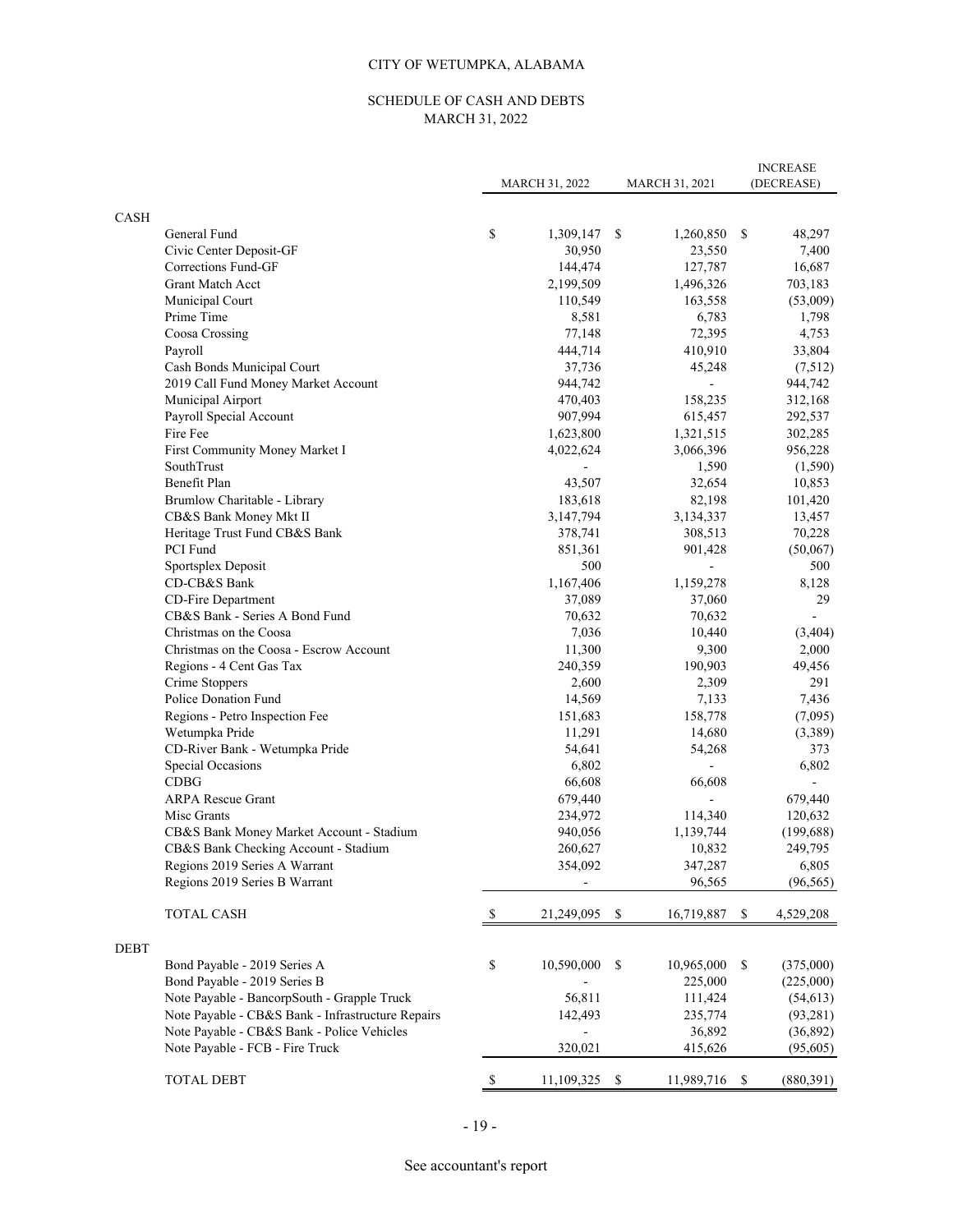# CITY OF WETUMPKA, ALABAMA

# SCHEDULE OF CASH AND DEBTS MARCH 31, 2022

| <b>CASH</b><br>\$<br>General Fund<br>1,309,147<br>-S<br>1,260,850 \$<br>48,297<br>30,950<br>Civic Center Deposit-GF<br>23,550<br>7,400<br>144,474<br>127,787<br>16,687<br>Corrections Fund-GF<br><b>Grant Match Acct</b><br>2,199,509<br>1,496,326<br>703,183<br>Municipal Court<br>110,549<br>163,558<br>(53,009)<br>Prime Time<br>8,581<br>6,783<br>1,798<br>Coosa Crossing<br>77,148<br>72,395<br>4,753<br>Payroll<br>444,714<br>410,910<br>33,804<br>Cash Bonds Municipal Court<br>37,736<br>(7,512)<br>45,248<br>2019 Call Fund Money Market Account<br>944,742<br>944,742<br>Municipal Airport<br>470,403<br>158,235<br>312,168<br>Payroll Special Account<br>907,994<br>615,457<br>292,537<br>Fire Fee<br>1,623,800<br>1,321,515<br>302,285<br>First Community Money Market I<br>4,022,624<br>3,066,396<br>956,228<br>SouthTrust<br>1,590<br>(1,590)<br>Benefit Plan<br>43,507<br>32,654<br>10,853<br>Brumlow Charitable - Library<br>183,618<br>82,198<br>101,420<br>CB&S Bank Money Mkt II<br>3,147,794<br>3,134,337<br>13,457<br>Heritage Trust Fund CB&S Bank<br>378,741<br>308,513<br>70,228<br>PCI Fund<br>851,361<br>901,428<br>(50,067)<br>500<br>Sportsplex Deposit<br>500<br>CD-CB&S Bank<br>1,167,406<br>1,159,278<br>8,128<br>CD-Fire Department<br>37,089<br>37,060<br>29<br>CB&S Bank - Series A Bond Fund<br>70,632<br>70,632<br>Christmas on the Coosa<br>7,036<br>10,440<br>(3,404)<br>Christmas on the Coosa - Escrow Account<br>11,300<br>9,300<br>2,000<br>Regions - 4 Cent Gas Tax<br>240,359<br>190,903<br>49,456<br>Crime Stoppers<br>2,600<br>2,309<br>291<br>Police Donation Fund<br>14,569<br>7,133<br>7,436<br>Regions - Petro Inspection Fee<br>151,683<br>158,778<br>(7,095)<br>11,291<br>(3,389)<br>Wetumpka Pride<br>14,680<br>CD-River Bank - Wetumpka Pride<br>54,641<br>54,268<br>373<br>6,802<br>Special Occasions<br>6,802<br><b>CDBG</b><br>66,608<br>66,608<br><b>ARPA Rescue Grant</b><br>679,440<br>679,440<br>234,972<br>Misc Grants<br>114,340<br>120,632<br>CB&S Bank Money Market Account - Stadium<br>940,056<br>1,139,744<br>(199, 688)<br>CB&S Bank Checking Account - Stadium<br>260,627<br>10,832<br>249,795<br>Regions 2019 Series A Warrant<br>354,092<br>6,805<br>347,287<br>Regions 2019 Series B Warrant<br>96,565<br>(96, 565)<br><b>TOTAL CASH</b><br>21,249,095<br><sup>\$</sup><br>16,719,887<br>4,529,208<br>S<br>\$<br><b>DEBT</b><br>\$<br>Bond Payable - 2019 Series A<br>10,590,000<br>10,965,000<br>\$<br>\$<br>(375,000)<br>Bond Payable - 2019 Series B<br>225,000<br>(225,000)<br>56,811<br>Note Payable - BancorpSouth - Grapple Truck<br>111,424<br>(54, 613)<br>Note Payable - CB&S Bank - Infrastructure Repairs<br>142,493<br>235,774<br>(93, 281)<br>Note Payable - CB&S Bank - Police Vehicles<br>36,892<br>(36,892)<br>÷,<br>320,021<br>Note Payable - FCB - Fire Truck<br>415,626<br>(95,605)<br>\$<br><b>TOTAL DEBT</b><br>11,109,325<br>- \$<br>11,989,716<br>(880, 391)<br>-S |  | MARCH 31, 2022 | MARCH 31, 2021 | <b>INCREASE</b><br>(DECREASE) |
|---------------------------------------------------------------------------------------------------------------------------------------------------------------------------------------------------------------------------------------------------------------------------------------------------------------------------------------------------------------------------------------------------------------------------------------------------------------------------------------------------------------------------------------------------------------------------------------------------------------------------------------------------------------------------------------------------------------------------------------------------------------------------------------------------------------------------------------------------------------------------------------------------------------------------------------------------------------------------------------------------------------------------------------------------------------------------------------------------------------------------------------------------------------------------------------------------------------------------------------------------------------------------------------------------------------------------------------------------------------------------------------------------------------------------------------------------------------------------------------------------------------------------------------------------------------------------------------------------------------------------------------------------------------------------------------------------------------------------------------------------------------------------------------------------------------------------------------------------------------------------------------------------------------------------------------------------------------------------------------------------------------------------------------------------------------------------------------------------------------------------------------------------------------------------------------------------------------------------------------------------------------------------------------------------------------------------------------------------------------------------------------------------------------------------------------------------------------------------------------------------------------------------------------------------------------------------------------------------------------------------------------------------------------------------------------------------------------------------------------------------------------------------------------------------------------------------------------------------------------------------------------------------------------------------------------------------------------------|--|----------------|----------------|-------------------------------|
|                                                                                                                                                                                                                                                                                                                                                                                                                                                                                                                                                                                                                                                                                                                                                                                                                                                                                                                                                                                                                                                                                                                                                                                                                                                                                                                                                                                                                                                                                                                                                                                                                                                                                                                                                                                                                                                                                                                                                                                                                                                                                                                                                                                                                                                                                                                                                                                                                                                                                                                                                                                                                                                                                                                                                                                                                                                                                                                                                                     |  |                |                |                               |
|                                                                                                                                                                                                                                                                                                                                                                                                                                                                                                                                                                                                                                                                                                                                                                                                                                                                                                                                                                                                                                                                                                                                                                                                                                                                                                                                                                                                                                                                                                                                                                                                                                                                                                                                                                                                                                                                                                                                                                                                                                                                                                                                                                                                                                                                                                                                                                                                                                                                                                                                                                                                                                                                                                                                                                                                                                                                                                                                                                     |  |                |                |                               |
|                                                                                                                                                                                                                                                                                                                                                                                                                                                                                                                                                                                                                                                                                                                                                                                                                                                                                                                                                                                                                                                                                                                                                                                                                                                                                                                                                                                                                                                                                                                                                                                                                                                                                                                                                                                                                                                                                                                                                                                                                                                                                                                                                                                                                                                                                                                                                                                                                                                                                                                                                                                                                                                                                                                                                                                                                                                                                                                                                                     |  |                |                |                               |
|                                                                                                                                                                                                                                                                                                                                                                                                                                                                                                                                                                                                                                                                                                                                                                                                                                                                                                                                                                                                                                                                                                                                                                                                                                                                                                                                                                                                                                                                                                                                                                                                                                                                                                                                                                                                                                                                                                                                                                                                                                                                                                                                                                                                                                                                                                                                                                                                                                                                                                                                                                                                                                                                                                                                                                                                                                                                                                                                                                     |  |                |                |                               |
|                                                                                                                                                                                                                                                                                                                                                                                                                                                                                                                                                                                                                                                                                                                                                                                                                                                                                                                                                                                                                                                                                                                                                                                                                                                                                                                                                                                                                                                                                                                                                                                                                                                                                                                                                                                                                                                                                                                                                                                                                                                                                                                                                                                                                                                                                                                                                                                                                                                                                                                                                                                                                                                                                                                                                                                                                                                                                                                                                                     |  |                |                |                               |
|                                                                                                                                                                                                                                                                                                                                                                                                                                                                                                                                                                                                                                                                                                                                                                                                                                                                                                                                                                                                                                                                                                                                                                                                                                                                                                                                                                                                                                                                                                                                                                                                                                                                                                                                                                                                                                                                                                                                                                                                                                                                                                                                                                                                                                                                                                                                                                                                                                                                                                                                                                                                                                                                                                                                                                                                                                                                                                                                                                     |  |                |                |                               |
|                                                                                                                                                                                                                                                                                                                                                                                                                                                                                                                                                                                                                                                                                                                                                                                                                                                                                                                                                                                                                                                                                                                                                                                                                                                                                                                                                                                                                                                                                                                                                                                                                                                                                                                                                                                                                                                                                                                                                                                                                                                                                                                                                                                                                                                                                                                                                                                                                                                                                                                                                                                                                                                                                                                                                                                                                                                                                                                                                                     |  |                |                |                               |
|                                                                                                                                                                                                                                                                                                                                                                                                                                                                                                                                                                                                                                                                                                                                                                                                                                                                                                                                                                                                                                                                                                                                                                                                                                                                                                                                                                                                                                                                                                                                                                                                                                                                                                                                                                                                                                                                                                                                                                                                                                                                                                                                                                                                                                                                                                                                                                                                                                                                                                                                                                                                                                                                                                                                                                                                                                                                                                                                                                     |  |                |                |                               |
|                                                                                                                                                                                                                                                                                                                                                                                                                                                                                                                                                                                                                                                                                                                                                                                                                                                                                                                                                                                                                                                                                                                                                                                                                                                                                                                                                                                                                                                                                                                                                                                                                                                                                                                                                                                                                                                                                                                                                                                                                                                                                                                                                                                                                                                                                                                                                                                                                                                                                                                                                                                                                                                                                                                                                                                                                                                                                                                                                                     |  |                |                |                               |
|                                                                                                                                                                                                                                                                                                                                                                                                                                                                                                                                                                                                                                                                                                                                                                                                                                                                                                                                                                                                                                                                                                                                                                                                                                                                                                                                                                                                                                                                                                                                                                                                                                                                                                                                                                                                                                                                                                                                                                                                                                                                                                                                                                                                                                                                                                                                                                                                                                                                                                                                                                                                                                                                                                                                                                                                                                                                                                                                                                     |  |                |                |                               |
|                                                                                                                                                                                                                                                                                                                                                                                                                                                                                                                                                                                                                                                                                                                                                                                                                                                                                                                                                                                                                                                                                                                                                                                                                                                                                                                                                                                                                                                                                                                                                                                                                                                                                                                                                                                                                                                                                                                                                                                                                                                                                                                                                                                                                                                                                                                                                                                                                                                                                                                                                                                                                                                                                                                                                                                                                                                                                                                                                                     |  |                |                |                               |
|                                                                                                                                                                                                                                                                                                                                                                                                                                                                                                                                                                                                                                                                                                                                                                                                                                                                                                                                                                                                                                                                                                                                                                                                                                                                                                                                                                                                                                                                                                                                                                                                                                                                                                                                                                                                                                                                                                                                                                                                                                                                                                                                                                                                                                                                                                                                                                                                                                                                                                                                                                                                                                                                                                                                                                                                                                                                                                                                                                     |  |                |                |                               |
|                                                                                                                                                                                                                                                                                                                                                                                                                                                                                                                                                                                                                                                                                                                                                                                                                                                                                                                                                                                                                                                                                                                                                                                                                                                                                                                                                                                                                                                                                                                                                                                                                                                                                                                                                                                                                                                                                                                                                                                                                                                                                                                                                                                                                                                                                                                                                                                                                                                                                                                                                                                                                                                                                                                                                                                                                                                                                                                                                                     |  |                |                |                               |
|                                                                                                                                                                                                                                                                                                                                                                                                                                                                                                                                                                                                                                                                                                                                                                                                                                                                                                                                                                                                                                                                                                                                                                                                                                                                                                                                                                                                                                                                                                                                                                                                                                                                                                                                                                                                                                                                                                                                                                                                                                                                                                                                                                                                                                                                                                                                                                                                                                                                                                                                                                                                                                                                                                                                                                                                                                                                                                                                                                     |  |                |                |                               |
|                                                                                                                                                                                                                                                                                                                                                                                                                                                                                                                                                                                                                                                                                                                                                                                                                                                                                                                                                                                                                                                                                                                                                                                                                                                                                                                                                                                                                                                                                                                                                                                                                                                                                                                                                                                                                                                                                                                                                                                                                                                                                                                                                                                                                                                                                                                                                                                                                                                                                                                                                                                                                                                                                                                                                                                                                                                                                                                                                                     |  |                |                |                               |
|                                                                                                                                                                                                                                                                                                                                                                                                                                                                                                                                                                                                                                                                                                                                                                                                                                                                                                                                                                                                                                                                                                                                                                                                                                                                                                                                                                                                                                                                                                                                                                                                                                                                                                                                                                                                                                                                                                                                                                                                                                                                                                                                                                                                                                                                                                                                                                                                                                                                                                                                                                                                                                                                                                                                                                                                                                                                                                                                                                     |  |                |                |                               |
|                                                                                                                                                                                                                                                                                                                                                                                                                                                                                                                                                                                                                                                                                                                                                                                                                                                                                                                                                                                                                                                                                                                                                                                                                                                                                                                                                                                                                                                                                                                                                                                                                                                                                                                                                                                                                                                                                                                                                                                                                                                                                                                                                                                                                                                                                                                                                                                                                                                                                                                                                                                                                                                                                                                                                                                                                                                                                                                                                                     |  |                |                |                               |
|                                                                                                                                                                                                                                                                                                                                                                                                                                                                                                                                                                                                                                                                                                                                                                                                                                                                                                                                                                                                                                                                                                                                                                                                                                                                                                                                                                                                                                                                                                                                                                                                                                                                                                                                                                                                                                                                                                                                                                                                                                                                                                                                                                                                                                                                                                                                                                                                                                                                                                                                                                                                                                                                                                                                                                                                                                                                                                                                                                     |  |                |                |                               |
|                                                                                                                                                                                                                                                                                                                                                                                                                                                                                                                                                                                                                                                                                                                                                                                                                                                                                                                                                                                                                                                                                                                                                                                                                                                                                                                                                                                                                                                                                                                                                                                                                                                                                                                                                                                                                                                                                                                                                                                                                                                                                                                                                                                                                                                                                                                                                                                                                                                                                                                                                                                                                                                                                                                                                                                                                                                                                                                                                                     |  |                |                |                               |
|                                                                                                                                                                                                                                                                                                                                                                                                                                                                                                                                                                                                                                                                                                                                                                                                                                                                                                                                                                                                                                                                                                                                                                                                                                                                                                                                                                                                                                                                                                                                                                                                                                                                                                                                                                                                                                                                                                                                                                                                                                                                                                                                                                                                                                                                                                                                                                                                                                                                                                                                                                                                                                                                                                                                                                                                                                                                                                                                                                     |  |                |                |                               |
|                                                                                                                                                                                                                                                                                                                                                                                                                                                                                                                                                                                                                                                                                                                                                                                                                                                                                                                                                                                                                                                                                                                                                                                                                                                                                                                                                                                                                                                                                                                                                                                                                                                                                                                                                                                                                                                                                                                                                                                                                                                                                                                                                                                                                                                                                                                                                                                                                                                                                                                                                                                                                                                                                                                                                                                                                                                                                                                                                                     |  |                |                |                               |
|                                                                                                                                                                                                                                                                                                                                                                                                                                                                                                                                                                                                                                                                                                                                                                                                                                                                                                                                                                                                                                                                                                                                                                                                                                                                                                                                                                                                                                                                                                                                                                                                                                                                                                                                                                                                                                                                                                                                                                                                                                                                                                                                                                                                                                                                                                                                                                                                                                                                                                                                                                                                                                                                                                                                                                                                                                                                                                                                                                     |  |                |                |                               |
|                                                                                                                                                                                                                                                                                                                                                                                                                                                                                                                                                                                                                                                                                                                                                                                                                                                                                                                                                                                                                                                                                                                                                                                                                                                                                                                                                                                                                                                                                                                                                                                                                                                                                                                                                                                                                                                                                                                                                                                                                                                                                                                                                                                                                                                                                                                                                                                                                                                                                                                                                                                                                                                                                                                                                                                                                                                                                                                                                                     |  |                |                |                               |
|                                                                                                                                                                                                                                                                                                                                                                                                                                                                                                                                                                                                                                                                                                                                                                                                                                                                                                                                                                                                                                                                                                                                                                                                                                                                                                                                                                                                                                                                                                                                                                                                                                                                                                                                                                                                                                                                                                                                                                                                                                                                                                                                                                                                                                                                                                                                                                                                                                                                                                                                                                                                                                                                                                                                                                                                                                                                                                                                                                     |  |                |                |                               |
|                                                                                                                                                                                                                                                                                                                                                                                                                                                                                                                                                                                                                                                                                                                                                                                                                                                                                                                                                                                                                                                                                                                                                                                                                                                                                                                                                                                                                                                                                                                                                                                                                                                                                                                                                                                                                                                                                                                                                                                                                                                                                                                                                                                                                                                                                                                                                                                                                                                                                                                                                                                                                                                                                                                                                                                                                                                                                                                                                                     |  |                |                |                               |
|                                                                                                                                                                                                                                                                                                                                                                                                                                                                                                                                                                                                                                                                                                                                                                                                                                                                                                                                                                                                                                                                                                                                                                                                                                                                                                                                                                                                                                                                                                                                                                                                                                                                                                                                                                                                                                                                                                                                                                                                                                                                                                                                                                                                                                                                                                                                                                                                                                                                                                                                                                                                                                                                                                                                                                                                                                                                                                                                                                     |  |                |                |                               |
|                                                                                                                                                                                                                                                                                                                                                                                                                                                                                                                                                                                                                                                                                                                                                                                                                                                                                                                                                                                                                                                                                                                                                                                                                                                                                                                                                                                                                                                                                                                                                                                                                                                                                                                                                                                                                                                                                                                                                                                                                                                                                                                                                                                                                                                                                                                                                                                                                                                                                                                                                                                                                                                                                                                                                                                                                                                                                                                                                                     |  |                |                |                               |
|                                                                                                                                                                                                                                                                                                                                                                                                                                                                                                                                                                                                                                                                                                                                                                                                                                                                                                                                                                                                                                                                                                                                                                                                                                                                                                                                                                                                                                                                                                                                                                                                                                                                                                                                                                                                                                                                                                                                                                                                                                                                                                                                                                                                                                                                                                                                                                                                                                                                                                                                                                                                                                                                                                                                                                                                                                                                                                                                                                     |  |                |                |                               |
|                                                                                                                                                                                                                                                                                                                                                                                                                                                                                                                                                                                                                                                                                                                                                                                                                                                                                                                                                                                                                                                                                                                                                                                                                                                                                                                                                                                                                                                                                                                                                                                                                                                                                                                                                                                                                                                                                                                                                                                                                                                                                                                                                                                                                                                                                                                                                                                                                                                                                                                                                                                                                                                                                                                                                                                                                                                                                                                                                                     |  |                |                |                               |
|                                                                                                                                                                                                                                                                                                                                                                                                                                                                                                                                                                                                                                                                                                                                                                                                                                                                                                                                                                                                                                                                                                                                                                                                                                                                                                                                                                                                                                                                                                                                                                                                                                                                                                                                                                                                                                                                                                                                                                                                                                                                                                                                                                                                                                                                                                                                                                                                                                                                                                                                                                                                                                                                                                                                                                                                                                                                                                                                                                     |  |                |                |                               |
|                                                                                                                                                                                                                                                                                                                                                                                                                                                                                                                                                                                                                                                                                                                                                                                                                                                                                                                                                                                                                                                                                                                                                                                                                                                                                                                                                                                                                                                                                                                                                                                                                                                                                                                                                                                                                                                                                                                                                                                                                                                                                                                                                                                                                                                                                                                                                                                                                                                                                                                                                                                                                                                                                                                                                                                                                                                                                                                                                                     |  |                |                |                               |
|                                                                                                                                                                                                                                                                                                                                                                                                                                                                                                                                                                                                                                                                                                                                                                                                                                                                                                                                                                                                                                                                                                                                                                                                                                                                                                                                                                                                                                                                                                                                                                                                                                                                                                                                                                                                                                                                                                                                                                                                                                                                                                                                                                                                                                                                                                                                                                                                                                                                                                                                                                                                                                                                                                                                                                                                                                                                                                                                                                     |  |                |                |                               |
|                                                                                                                                                                                                                                                                                                                                                                                                                                                                                                                                                                                                                                                                                                                                                                                                                                                                                                                                                                                                                                                                                                                                                                                                                                                                                                                                                                                                                                                                                                                                                                                                                                                                                                                                                                                                                                                                                                                                                                                                                                                                                                                                                                                                                                                                                                                                                                                                                                                                                                                                                                                                                                                                                                                                                                                                                                                                                                                                                                     |  |                |                |                               |
|                                                                                                                                                                                                                                                                                                                                                                                                                                                                                                                                                                                                                                                                                                                                                                                                                                                                                                                                                                                                                                                                                                                                                                                                                                                                                                                                                                                                                                                                                                                                                                                                                                                                                                                                                                                                                                                                                                                                                                                                                                                                                                                                                                                                                                                                                                                                                                                                                                                                                                                                                                                                                                                                                                                                                                                                                                                                                                                                                                     |  |                |                |                               |
|                                                                                                                                                                                                                                                                                                                                                                                                                                                                                                                                                                                                                                                                                                                                                                                                                                                                                                                                                                                                                                                                                                                                                                                                                                                                                                                                                                                                                                                                                                                                                                                                                                                                                                                                                                                                                                                                                                                                                                                                                                                                                                                                                                                                                                                                                                                                                                                                                                                                                                                                                                                                                                                                                                                                                                                                                                                                                                                                                                     |  |                |                |                               |
|                                                                                                                                                                                                                                                                                                                                                                                                                                                                                                                                                                                                                                                                                                                                                                                                                                                                                                                                                                                                                                                                                                                                                                                                                                                                                                                                                                                                                                                                                                                                                                                                                                                                                                                                                                                                                                                                                                                                                                                                                                                                                                                                                                                                                                                                                                                                                                                                                                                                                                                                                                                                                                                                                                                                                                                                                                                                                                                                                                     |  |                |                |                               |
|                                                                                                                                                                                                                                                                                                                                                                                                                                                                                                                                                                                                                                                                                                                                                                                                                                                                                                                                                                                                                                                                                                                                                                                                                                                                                                                                                                                                                                                                                                                                                                                                                                                                                                                                                                                                                                                                                                                                                                                                                                                                                                                                                                                                                                                                                                                                                                                                                                                                                                                                                                                                                                                                                                                                                                                                                                                                                                                                                                     |  |                |                |                               |
|                                                                                                                                                                                                                                                                                                                                                                                                                                                                                                                                                                                                                                                                                                                                                                                                                                                                                                                                                                                                                                                                                                                                                                                                                                                                                                                                                                                                                                                                                                                                                                                                                                                                                                                                                                                                                                                                                                                                                                                                                                                                                                                                                                                                                                                                                                                                                                                                                                                                                                                                                                                                                                                                                                                                                                                                                                                                                                                                                                     |  |                |                |                               |
|                                                                                                                                                                                                                                                                                                                                                                                                                                                                                                                                                                                                                                                                                                                                                                                                                                                                                                                                                                                                                                                                                                                                                                                                                                                                                                                                                                                                                                                                                                                                                                                                                                                                                                                                                                                                                                                                                                                                                                                                                                                                                                                                                                                                                                                                                                                                                                                                                                                                                                                                                                                                                                                                                                                                                                                                                                                                                                                                                                     |  |                |                |                               |
|                                                                                                                                                                                                                                                                                                                                                                                                                                                                                                                                                                                                                                                                                                                                                                                                                                                                                                                                                                                                                                                                                                                                                                                                                                                                                                                                                                                                                                                                                                                                                                                                                                                                                                                                                                                                                                                                                                                                                                                                                                                                                                                                                                                                                                                                                                                                                                                                                                                                                                                                                                                                                                                                                                                                                                                                                                                                                                                                                                     |  |                |                |                               |
|                                                                                                                                                                                                                                                                                                                                                                                                                                                                                                                                                                                                                                                                                                                                                                                                                                                                                                                                                                                                                                                                                                                                                                                                                                                                                                                                                                                                                                                                                                                                                                                                                                                                                                                                                                                                                                                                                                                                                                                                                                                                                                                                                                                                                                                                                                                                                                                                                                                                                                                                                                                                                                                                                                                                                                                                                                                                                                                                                                     |  |                |                |                               |
|                                                                                                                                                                                                                                                                                                                                                                                                                                                                                                                                                                                                                                                                                                                                                                                                                                                                                                                                                                                                                                                                                                                                                                                                                                                                                                                                                                                                                                                                                                                                                                                                                                                                                                                                                                                                                                                                                                                                                                                                                                                                                                                                                                                                                                                                                                                                                                                                                                                                                                                                                                                                                                                                                                                                                                                                                                                                                                                                                                     |  |                |                |                               |
|                                                                                                                                                                                                                                                                                                                                                                                                                                                                                                                                                                                                                                                                                                                                                                                                                                                                                                                                                                                                                                                                                                                                                                                                                                                                                                                                                                                                                                                                                                                                                                                                                                                                                                                                                                                                                                                                                                                                                                                                                                                                                                                                                                                                                                                                                                                                                                                                                                                                                                                                                                                                                                                                                                                                                                                                                                                                                                                                                                     |  |                |                |                               |
|                                                                                                                                                                                                                                                                                                                                                                                                                                                                                                                                                                                                                                                                                                                                                                                                                                                                                                                                                                                                                                                                                                                                                                                                                                                                                                                                                                                                                                                                                                                                                                                                                                                                                                                                                                                                                                                                                                                                                                                                                                                                                                                                                                                                                                                                                                                                                                                                                                                                                                                                                                                                                                                                                                                                                                                                                                                                                                                                                                     |  |                |                |                               |
|                                                                                                                                                                                                                                                                                                                                                                                                                                                                                                                                                                                                                                                                                                                                                                                                                                                                                                                                                                                                                                                                                                                                                                                                                                                                                                                                                                                                                                                                                                                                                                                                                                                                                                                                                                                                                                                                                                                                                                                                                                                                                                                                                                                                                                                                                                                                                                                                                                                                                                                                                                                                                                                                                                                                                                                                                                                                                                                                                                     |  |                |                |                               |
|                                                                                                                                                                                                                                                                                                                                                                                                                                                                                                                                                                                                                                                                                                                                                                                                                                                                                                                                                                                                                                                                                                                                                                                                                                                                                                                                                                                                                                                                                                                                                                                                                                                                                                                                                                                                                                                                                                                                                                                                                                                                                                                                                                                                                                                                                                                                                                                                                                                                                                                                                                                                                                                                                                                                                                                                                                                                                                                                                                     |  |                |                |                               |
|                                                                                                                                                                                                                                                                                                                                                                                                                                                                                                                                                                                                                                                                                                                                                                                                                                                                                                                                                                                                                                                                                                                                                                                                                                                                                                                                                                                                                                                                                                                                                                                                                                                                                                                                                                                                                                                                                                                                                                                                                                                                                                                                                                                                                                                                                                                                                                                                                                                                                                                                                                                                                                                                                                                                                                                                                                                                                                                                                                     |  |                |                |                               |
|                                                                                                                                                                                                                                                                                                                                                                                                                                                                                                                                                                                                                                                                                                                                                                                                                                                                                                                                                                                                                                                                                                                                                                                                                                                                                                                                                                                                                                                                                                                                                                                                                                                                                                                                                                                                                                                                                                                                                                                                                                                                                                                                                                                                                                                                                                                                                                                                                                                                                                                                                                                                                                                                                                                                                                                                                                                                                                                                                                     |  |                |                |                               |
|                                                                                                                                                                                                                                                                                                                                                                                                                                                                                                                                                                                                                                                                                                                                                                                                                                                                                                                                                                                                                                                                                                                                                                                                                                                                                                                                                                                                                                                                                                                                                                                                                                                                                                                                                                                                                                                                                                                                                                                                                                                                                                                                                                                                                                                                                                                                                                                                                                                                                                                                                                                                                                                                                                                                                                                                                                                                                                                                                                     |  |                |                |                               |
|                                                                                                                                                                                                                                                                                                                                                                                                                                                                                                                                                                                                                                                                                                                                                                                                                                                                                                                                                                                                                                                                                                                                                                                                                                                                                                                                                                                                                                                                                                                                                                                                                                                                                                                                                                                                                                                                                                                                                                                                                                                                                                                                                                                                                                                                                                                                                                                                                                                                                                                                                                                                                                                                                                                                                                                                                                                                                                                                                                     |  |                |                |                               |